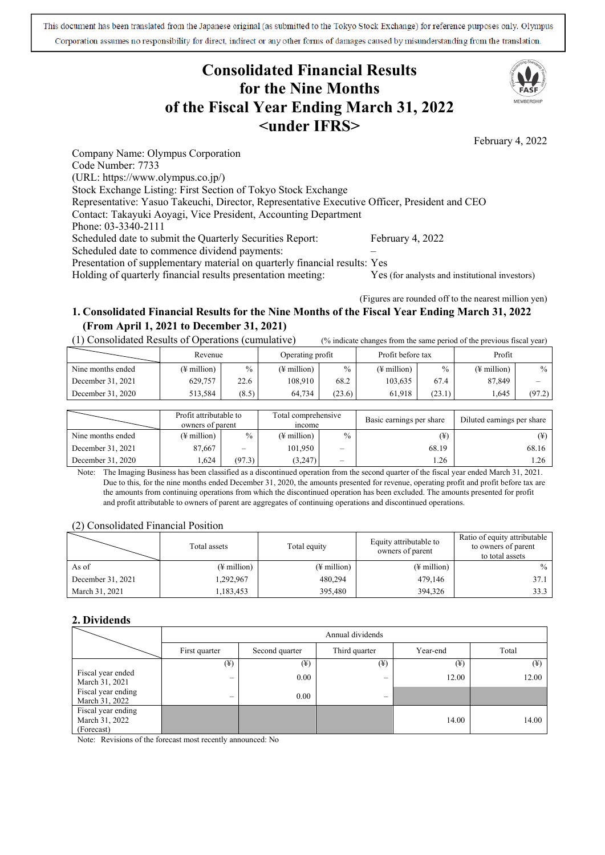This document has been translated from the Japanese original (as submitted to the Tokyo Stock Exchange) for reference purposes only. Olympus Corporation assumes no responsibility for direct, indirect or any other forms of damages caused by misunderstanding from the translation.

# **Consolidated Financial Results for the Nine Months of the Fiscal Year Ending March 31, 2022 <under IFRS>**



(Figures are rounded off to the nearest million yen)

# **1. Consolidated Financial Results for the Nine Months of the Fiscal Year Ending March 31, 2022 (From April 1, 2021 to December 31, 2021)**

(1) Consolidated Results of Operations (cumulative) (% indicate changes from the same period of the previous fiscal year)

|                   | Revenue     |       | Operating profit |               | Profit before tax       |        | Profit                  |        |
|-------------------|-------------|-------|------------------|---------------|-------------------------|--------|-------------------------|--------|
| Nine months ended | (¥ million) | $\%$  | (¥ million)      | $\frac{0}{0}$ | $(\frac{1}{2})$ million | $\%$   | $(\frac{1}{2})$ million | $\%$   |
| December 31, 2021 | 629,757     | 22.6  | 108.910          | 68.2          | 103.635                 | 67.4   | 87,849                  | -      |
| December 31, 2020 | 513.584     | (8.5) | 64.734           | (23.6)        | 61.918                  | (23.1) | 1.645                   | (97.2) |

|                   | Profit attributable to<br>owners of parent |        | Total comprehensive<br><i>n</i> come |        | Basic earnings per share | Diluted earnings per share |
|-------------------|--------------------------------------------|--------|--------------------------------------|--------|--------------------------|----------------------------|
| Nine months ended | (¥ million)                                | $\%$   | $(\frac{1}{2})$ million              | $\%$   | $(\yen)$                 |                            |
| December 31, 2021 | 87,667                                     | $\sim$ | 101.950                              | $\sim$ | 68.19                    | 68.16                      |
| December 31, 2020 | .624                                       | (97.3) | (3,247)                              | $\sim$ | .26                      | 1.26                       |

Note: The Imaging Business has been classified as a discontinued operation from the second quarter of the fiscal year ended March 31, 2021. Due to this, for the nine months ended December 31, 2020, the amounts presented for revenue, operating profit and profit before tax are the amounts from continuing operations from which the discontinued operation has been excluded. The amounts presented for profit and profit attributable to owners of parent are aggregates of continuing operations and discontinued operations.

### (2) Consolidated Financial Position

|                   | Total assets            | Total equity            | Equity attributable to<br>owners of parent | Ratio of equity attributable<br>to owners of parent<br>to total assets |
|-------------------|-------------------------|-------------------------|--------------------------------------------|------------------------------------------------------------------------|
| As of             | $(\frac{1}{2})$ million | $(\frac{1}{2}$ million) | $(\frac{1}{2})$ million                    | $\%$                                                                   |
| December 31, 2021 | 1,292,967               | 480,294                 | 479,146                                    | 37.1                                                                   |
| March 31, 2021    | 1,183,453               | 395,480                 | 394,326                                    | 33.3                                                                   |

### **2. Dividends**

|                                                    | Annual dividends             |                |                          |          |       |  |  |
|----------------------------------------------------|------------------------------|----------------|--------------------------|----------|-------|--|--|
|                                                    | First quarter                | Second quarter | Third quarter            | Year-end | Total |  |  |
|                                                    | $(\textcircled{\texttt{F}})$ | $(\yen)$       | (¥)                      | (¥)      | (¥)   |  |  |
| Fiscal year ended<br>March 31, 2021                | -                            | 0.00           | $\overline{\phantom{a}}$ | 12.00    | 12.00 |  |  |
| Fiscal year ending<br>March 31, 2022               | -                            | 0.00           | $\overline{\phantom{a}}$ |          |       |  |  |
| Fiscal year ending<br>March 31, 2022<br>(Forecast) |                              |                |                          | 14.00    | 14.00 |  |  |

Note: Revisions of the forecast most recently announced: No

MEMRERSHIP

February 4, 2022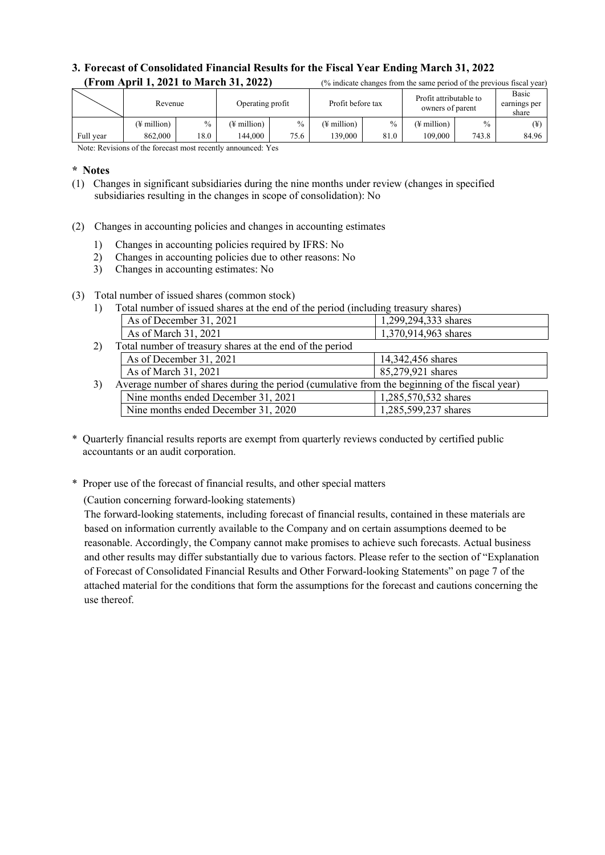# **3. Forecast of Consolidated Financial Results for the Fiscal Year Ending March 31, 2022 (From April 1, 2021 to March 31, 2022)** (% indicate changes from the same period of the previous fiscal year)

|           | Revenue<br>Operating profit |      |                         | Profit before tax |             | Profit attributable to<br>owners of parent |             | Basic<br>earnings per<br>share |       |
|-----------|-----------------------------|------|-------------------------|-------------------|-------------|--------------------------------------------|-------------|--------------------------------|-------|
|           | (¥ million)                 | $\%$ | $(\frac{1}{2})$ million | $\%$              | (¥ million) | $\frac{0}{0}$                              | (¥ million) | $\frac{0}{0}$                  | ¥     |
| Full year | 862,000                     | 18.0 | 144.000                 | 75.6              | 139,000     | 81.0                                       | 109.000     | 743.8                          | 84.96 |

Note: Revisions of the forecast most recently announced: Yes

### **\* Notes**

- (1) Changes in significant subsidiaries during the nine months under review (changes in specified subsidiaries resulting in the changes in scope of consolidation): No
- (2) Changes in accounting policies and changes in accounting estimates
	- 1) Changes in accounting policies required by IFRS: No
	- 2) Changes in accounting policies due to other reasons: No
	- 3) Changes in accounting estimates: No

### (3) Total number of issued shares (common stock)

1) Total number of issued shares at the end of the period (including treasury shares)

|    | As of December 31, 2021                                                                       | 1,299,294,333 shares |
|----|-----------------------------------------------------------------------------------------------|----------------------|
|    | As of March 31, 2021                                                                          | 1,370,914,963 shares |
| 2) | Total number of treasury shares at the end of the period                                      |                      |
|    | As of December 31, 2021                                                                       | 14,342,456 shares    |
|    | As of March 31, 2021                                                                          | 85,279,921 shares    |
| 3) | Average number of shares during the period (cumulative from the beginning of the fiscal year) |                      |
|    | Nine months ended December 31, 2021                                                           | 1,285,570,532 shares |
|    | Nine months ended December 31, 2020                                                           | 1,285,599,237 shares |
|    |                                                                                               |                      |

- \* Quarterly financial results reports are exempt from quarterly reviews conducted by certified public accountants or an audit corporation.
- \* Proper use of the forecast of financial results, and other special matters

(Caution concerning forward-looking statements)

The forward-looking statements, including forecast of financial results, contained in these materials are based on information currently available to the Company and on certain assumptions deemed to be reasonable. Accordingly, the Company cannot make promises to achieve such forecasts. Actual business and other results may differ substantially due to various factors. Please refer to the section of "Explanation of Forecast of Consolidated Financial Results and Other Forward-looking Statements" on page 7 of the attached material for the conditions that form the assumptions for the forecast and cautions concerning the use thereof.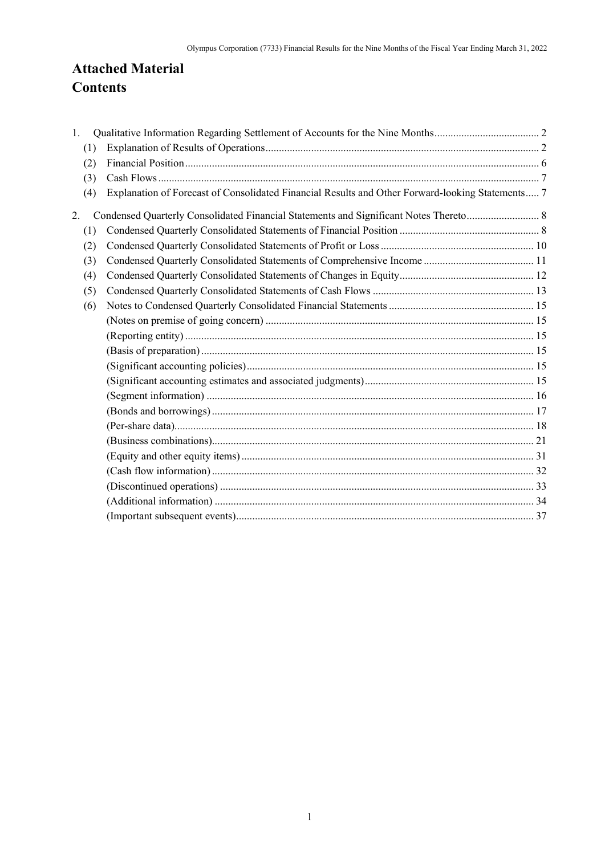# **Attached Material Contents**

| 1. |     |                                                                                                  |  |
|----|-----|--------------------------------------------------------------------------------------------------|--|
|    | (1) |                                                                                                  |  |
|    | (2) |                                                                                                  |  |
|    | (3) |                                                                                                  |  |
|    | (4) | Explanation of Forecast of Consolidated Financial Results and Other Forward-looking Statements 7 |  |
| 2. |     | Condensed Quarterly Consolidated Financial Statements and Significant Notes Thereto 8            |  |
|    | (1) |                                                                                                  |  |
|    | (2) |                                                                                                  |  |
|    | (3) |                                                                                                  |  |
|    | (4) |                                                                                                  |  |
|    | (5) |                                                                                                  |  |
|    | (6) |                                                                                                  |  |
|    |     |                                                                                                  |  |
|    |     |                                                                                                  |  |
|    |     |                                                                                                  |  |
|    |     |                                                                                                  |  |
|    |     |                                                                                                  |  |
|    |     |                                                                                                  |  |
|    |     |                                                                                                  |  |
|    |     |                                                                                                  |  |
|    |     |                                                                                                  |  |
|    |     |                                                                                                  |  |
|    |     |                                                                                                  |  |
|    |     |                                                                                                  |  |
|    |     |                                                                                                  |  |
|    |     |                                                                                                  |  |
|    |     |                                                                                                  |  |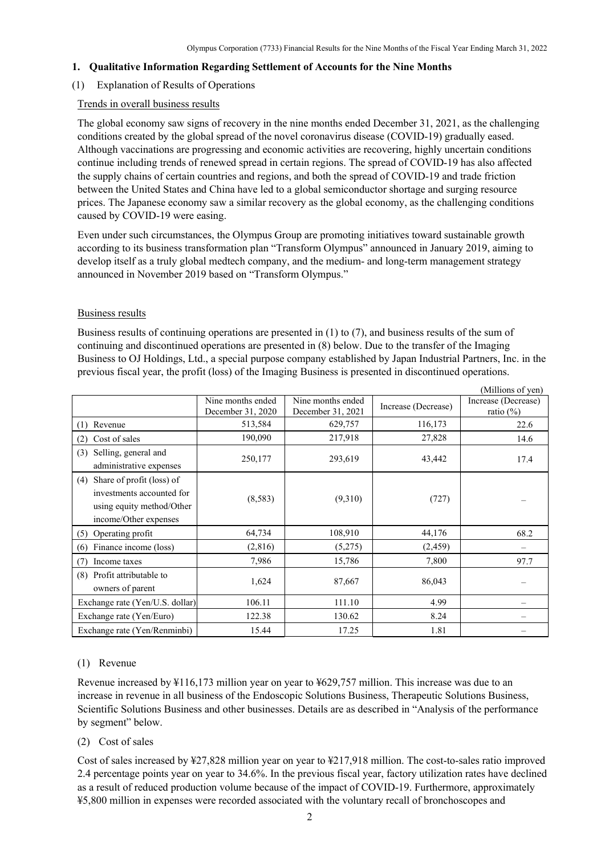### <span id="page-3-0"></span>**1. Qualitative Information Regarding Settlement of Accounts for the Nine Months**

## <span id="page-3-1"></span>(1) Explanation of Results of Operations

### Trends in overall business results

The global economy saw signs of recovery in the nine months ended December 31, 2021, as the challenging conditions created by the global spread of the novel coronavirus disease (COVID-19) gradually eased. Although vaccinations are progressing and economic activities are recovering, highly uncertain conditions continue including trends of renewed spread in certain regions. The spread of COVID-19 has also affected the supply chains of certain countries and regions, and both the spread of COVID-19 and trade friction between the United States and China have led to a global semiconductor shortage and surging resource prices. The Japanese economy saw a similar recovery as the global economy, as the challenging conditions caused by COVID-19 were easing.

Even under such circumstances, the Olympus Group are promoting initiatives toward sustainable growth according to its business transformation plan "Transform Olympus" announced in January 2019, aiming to develop itself as a truly global medtech company, and the medium- and long-term management strategy announced in November 2019 based on "Transform Olympus."

### Business results

Business results of continuing operations are presented in (1) to (7), and business results of the sum of continuing and discontinued operations are presented in (8) below. Due to the transfer of the Imaging Business to OJ Holdings, Ltd., a special purpose company established by Japan Industrial Partners, Inc. in the previous fiscal year, the profit (loss) of the Imaging Business is presented in discontinued operations.

|                                                                                                                     |                                        |                                        |                     | (Millions of yen)                    |
|---------------------------------------------------------------------------------------------------------------------|----------------------------------------|----------------------------------------|---------------------|--------------------------------------|
|                                                                                                                     | Nine months ended<br>December 31, 2020 | Nine months ended<br>December 31, 2021 | Increase (Decrease) | Increase (Decrease)<br>ratio $(\% )$ |
| $(1)$ Revenue                                                                                                       | 513,584                                | 629,757                                | 116,173             | 22.6                                 |
| Cost of sales<br>(2)                                                                                                | 190,090                                | 217,918                                | 27,828              | 14.6                                 |
| Selling, general and<br>(3)<br>administrative expenses                                                              | 250,177                                | 293,619                                | 43,442              | 17.4                                 |
| Share of profit (loss) of<br>(4)<br>investments accounted for<br>using equity method/Other<br>income/Other expenses | (8,583)                                | (9,310)                                | (727)               |                                      |
| (5) Operating profit                                                                                                | 64,734                                 | 108,910                                | 44,176              | 68.2                                 |
| Finance income (loss)<br>(6)                                                                                        | (2,816)                                | (5,275)                                | (2, 459)            |                                      |
| Income taxes<br>(7)                                                                                                 | 7,986                                  | 15,786                                 | 7,800               | 97.7                                 |
| (8) Profit attributable to<br>owners of parent                                                                      | 1,624                                  | 87,667                                 | 86,043              |                                      |
| Exchange rate (Yen/U.S. dollar)                                                                                     | 106.11                                 | 111.10                                 | 4.99                |                                      |
| Exchange rate (Yen/Euro)                                                                                            | 122.38                                 | 130.62                                 | 8.24                |                                      |
| Exchange rate (Yen/Renminbi)                                                                                        | 15.44                                  | 17.25                                  | 1.81                |                                      |

## (1) Revenue

Revenue increased by ¥116,173 million year on year to ¥629,757 million. This increase was due to an increase in revenue in all business of the Endoscopic Solutions Business, Therapeutic Solutions Business, Scientific Solutions Business and other businesses. Details are as described in "Analysis of the performance by segment" below.

## (2) Cost of sales

Cost of sales increased by ¥27,828 million year on year to ¥217,918 million. The cost-to-sales ratio improved 2.4 percentage points year on year to 34.6%. In the previous fiscal year, factory utilization rates have declined as a result of reduced production volume because of the impact of COVID-19. Furthermore, approximately ¥5,800 million in expenses were recorded associated with the voluntary recall of bronchoscopes and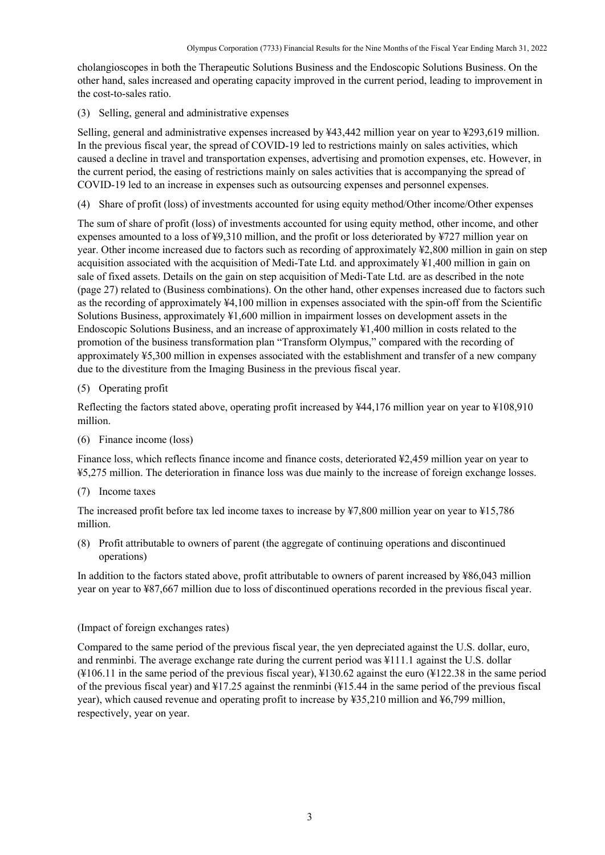cholangioscopes in both the Therapeutic Solutions Business and the Endoscopic Solutions Business. On the other hand, sales increased and operating capacity improved in the current period, leading to improvement in the cost-to-sales ratio.

(3) Selling, general and administrative expenses

Selling, general and administrative expenses increased by ¥43,442 million year on year to ¥293,619 million. In the previous fiscal year, the spread of COVID-19 led to restrictions mainly on sales activities, which caused a decline in travel and transportation expenses, advertising and promotion expenses, etc. However, in the current period, the easing of restrictions mainly on sales activities that is accompanying the spread of COVID-19 led to an increase in expenses such as outsourcing expenses and personnel expenses.

(4) Share of profit (loss) of investments accounted for using equity method/Other income/Other expenses

The sum of share of profit (loss) of investments accounted for using equity method, other income, and other expenses amounted to a loss of ¥9,310 million, and the profit or loss deteriorated by ¥727 million year on year. Other income increased due to factors such as recording of approximately ¥2,800 million in gain on step acquisition associated with the acquisition of Medi-Tate Ltd. and approximately ¥1,400 million in gain on sale of fixed assets. Details on the gain on step acquisition of Medi-Tate Ltd. are as described in the note (page 27) related to (Business combinations). On the other hand, other expenses increased due to factors such as the recording of approximately ¥4,100 million in expenses associated with the spin-off from the Scientific Solutions Business, approximately ¥1,600 million in impairment losses on development assets in the Endoscopic Solutions Business, and an increase of approximately ¥1,400 million in costs related to the promotion of the business transformation plan "Transform Olympus," compared with the recording of approximately ¥5,300 million in expenses associated with the establishment and transfer of a new company due to the divestiture from the Imaging Business in the previous fiscal year.

(5) Operating profit

Reflecting the factors stated above, operating profit increased by ¥44,176 million year on year to ¥108,910 million.

(6) Finance income (loss)

Finance loss, which reflects finance income and finance costs, deteriorated ¥2,459 million year on year to ¥5,275 million. The deterioration in finance loss was due mainly to the increase of foreign exchange losses.

(7) Income taxes

The increased profit before tax led income taxes to increase by ¥7,800 million year on year to ¥15,786 million.

(8) Profit attributable to owners of parent (the aggregate of continuing operations and discontinued operations)

In addition to the factors stated above, profit attributable to owners of parent increased by ¥86,043 million year on year to ¥87,667 million due to loss of discontinued operations recorded in the previous fiscal year.

### (Impact of foreign exchanges rates)

Compared to the same period of the previous fiscal year, the yen depreciated against the U.S. dollar, euro, and renminbi. The average exchange rate during the current period was ¥111.1 against the U.S. dollar (¥106.11 in the same period of the previous fiscal year), ¥130.62 against the euro (¥122.38 in the same period of the previous fiscal year) and ¥17.25 against the renminbi (¥15.44 in the same period of the previous fiscal year), which caused revenue and operating profit to increase by ¥35,210 million and ¥6,799 million, respectively, year on year.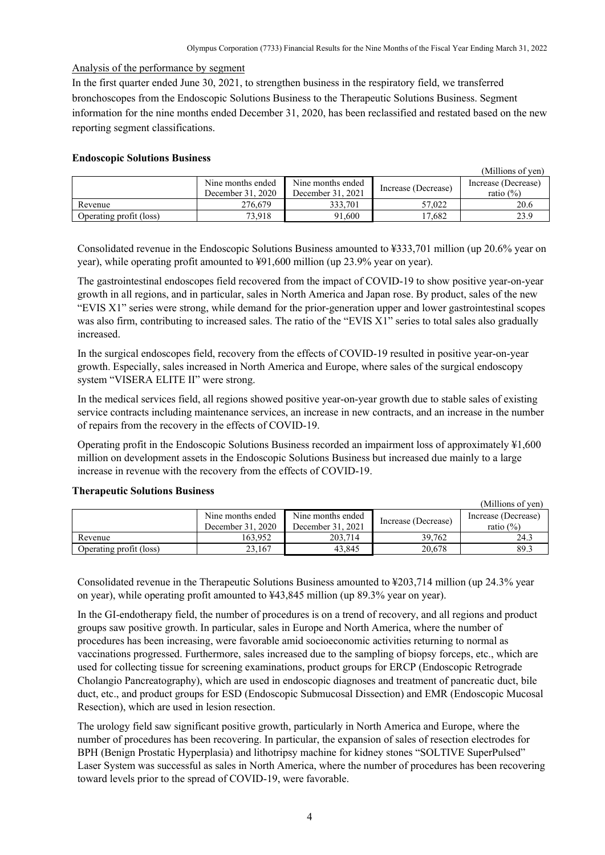Analysis of the performance by segment

In the first quarter ended June 30, 2021, to strengthen business in the respiratory field, we transferred bronchoscopes from the Endoscopic Solutions Business to the Therapeutic Solutions Business. Segment information for the nine months ended December 31, 2020, has been reclassified and restated based on the new reporting segment classifications.

### **Endoscopic Solutions Business**

|                         |                                        |                                        |                     | (Millions of yen)                   |
|-------------------------|----------------------------------------|----------------------------------------|---------------------|-------------------------------------|
|                         | Nine months ended<br>December 31, 2020 | Nine months ended<br>December 31, 2021 | Increase (Decrease) | Increase (Decrease)<br>ratio $(\%)$ |
| Revenue                 | 276,679                                | 333.701                                | 57,022              | 20.6                                |
| Operating profit (loss) | 73.918                                 | 91.600                                 | 17.682              | 23.9                                |

Consolidated revenue in the Endoscopic Solutions Business amounted to ¥333,701 million (up 20.6% year on year), while operating profit amounted to ¥91,600 million (up 23.9% year on year).

The gastrointestinal endoscopes field recovered from the impact of COVID-19 to show positive year-on-year growth in all regions, and in particular, sales in North America and Japan rose. By product, sales of the new "EVIS X1" series were strong, while demand for the prior-generation upper and lower gastrointestinal scopes was also firm, contributing to increased sales. The ratio of the "EVIS X1" series to total sales also gradually increased.

In the surgical endoscopes field, recovery from the effects of COVID-19 resulted in positive year-on-year growth. Especially, sales increased in North America and Europe, where sales of the surgical endoscopy system "VISERA ELITE II" were strong.

In the medical services field, all regions showed positive year-on-year growth due to stable sales of existing service contracts including maintenance services, an increase in new contracts, and an increase in the number of repairs from the recovery in the effects of COVID-19.

Operating profit in the Endoscopic Solutions Business recorded an impairment loss of approximately ¥1,600 million on development assets in the Endoscopic Solutions Business but increased due mainly to a large increase in revenue with the recovery from the effects of COVID-19.

|                         |                                        |                                        |                     | (Millions of yen)                   |
|-------------------------|----------------------------------------|----------------------------------------|---------------------|-------------------------------------|
|                         | Nine months ended<br>December 31, 2020 | Nine months ended<br>December 31, 2021 | Increase (Decrease) | Increase (Decrease)<br>ratio $(\%)$ |
| Revenue                 | 163.952                                | 203,714                                | 39.762              | 24.3                                |
| Operating profit (loss) | 23.167                                 | 43.845                                 | 20,678              | 89.3                                |

### **Therapeutic Solutions Business**

Consolidated revenue in the Therapeutic Solutions Business amounted to ¥203,714 million (up 24.3% year on year), while operating profit amounted to ¥43,845 million (up 89.3% year on year).

In the GI-endotherapy field, the number of procedures is on a trend of recovery, and all regions and product groups saw positive growth. In particular, sales in Europe and North America, where the number of procedures has been increasing, were favorable amid socioeconomic activities returning to normal as vaccinations progressed. Furthermore, sales increased due to the sampling of biopsy forceps, etc., which are used for collecting tissue for screening examinations, product groups for ERCP (Endoscopic Retrograde Cholangio Pancreatography), which are used in endoscopic diagnoses and treatment of pancreatic duct, bile duct, etc., and product groups for ESD (Endoscopic Submucosal Dissection) and EMR (Endoscopic Mucosal Resection), which are used in lesion resection.

The urology field saw significant positive growth, particularly in North America and Europe, where the number of procedures has been recovering. In particular, the expansion of sales of resection electrodes for BPH (Benign Prostatic Hyperplasia) and lithotripsy machine for kidney stones "SOLTIVE SuperPulsed" Laser System was successful as sales in North America, where the number of procedures has been recovering toward levels prior to the spread of COVID-19, were favorable.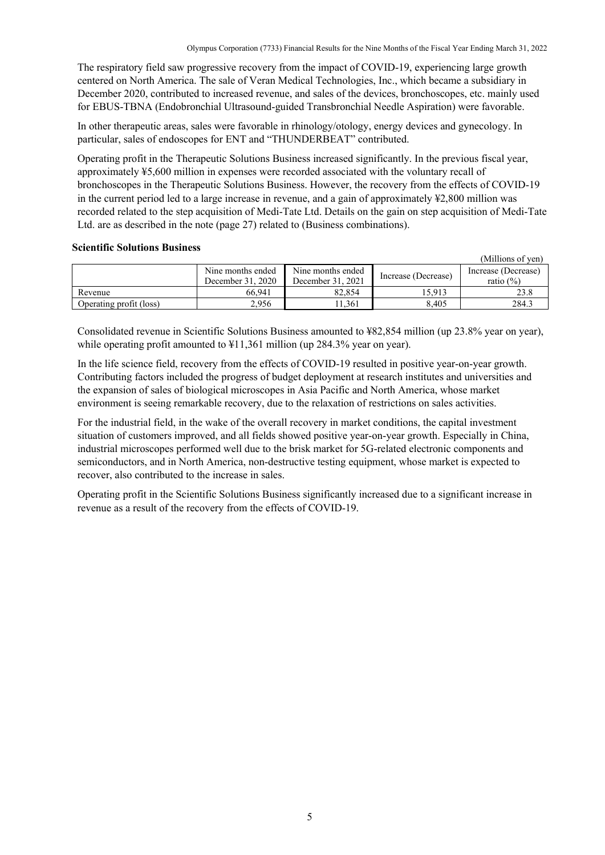The respiratory field saw progressive recovery from the impact of COVID-19, experiencing large growth centered on North America. The sale of Veran Medical Technologies, Inc., which became a subsidiary in December 2020, contributed to increased revenue, and sales of the devices, bronchoscopes, etc. mainly used for EBUS-TBNA (Endobronchial Ultrasound-guided Transbronchial Needle Aspiration) were favorable.

In other therapeutic areas, sales were favorable in rhinology/otology, energy devices and gynecology. In particular, sales of endoscopes for ENT and "THUNDERBEAT" contributed.

Operating profit in the Therapeutic Solutions Business increased significantly. In the previous fiscal year, approximately ¥5,600 million in expenses were recorded associated with the voluntary recall of bronchoscopes in the Therapeutic Solutions Business. However, the recovery from the effects of COVID-19 in the current period led to a large increase in revenue, and a gain of approximately ¥2,800 million was recorded related to the step acquisition of Medi-Tate Ltd. Details on the gain on step acquisition of Medi-Tate Ltd. are as described in the note (page 27) related to (Business combinations).

### **Scientific Solutions Business**

|                         |                                        |                                        |                     | (Millions of yen)                    |
|-------------------------|----------------------------------------|----------------------------------------|---------------------|--------------------------------------|
|                         | Nine months ended<br>December 31, 2020 | Nine months ended<br>December 31, 2021 | Increase (Decrease) | Increase (Decrease)<br>ratio $(\% )$ |
| Revenue                 | 66.941                                 | 82.854                                 | 15.913              |                                      |
| Operating profit (loss) | 2,956                                  | 1.361                                  | 8,405               | 284.3                                |

Consolidated revenue in Scientific Solutions Business amounted to ¥82,854 million (up 23.8% year on year), while operating profit amounted to  $\text{\textsterling}11,361$  million (up 284.3% year on year).

In the life science field, recovery from the effects of COVID-19 resulted in positive year-on-year growth. Contributing factors included the progress of budget deployment at research institutes and universities and the expansion of sales of biological microscopes in Asia Pacific and North America, whose market environment is seeing remarkable recovery, due to the relaxation of restrictions on sales activities.

For the industrial field, in the wake of the overall recovery in market conditions, the capital investment situation of customers improved, and all fields showed positive year-on-year growth. Especially in China, industrial microscopes performed well due to the brisk market for 5G-related electronic components and semiconductors, and in North America, non-destructive testing equipment, whose market is expected to recover, also contributed to the increase in sales.

Operating profit in the Scientific Solutions Business significantly increased due to a significant increase in revenue as a result of the recovery from the effects of COVID-19.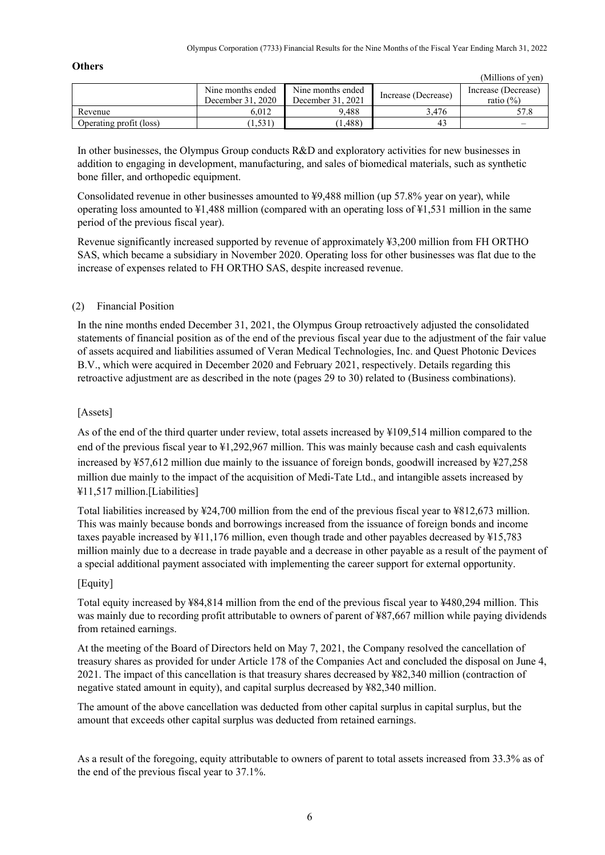### **Others**

|                         |                                        |                                        |                     | (Millions of yen)                   |
|-------------------------|----------------------------------------|----------------------------------------|---------------------|-------------------------------------|
|                         | Nine months ended<br>December 31, 2020 | Nine months ended<br>December 31. 2021 | Increase (Decrease) | Increase (Decrease)<br>ratio $(\%)$ |
| Revenue                 | 6.012                                  | 9.488                                  | 3.476               |                                     |
| Operating profit (loss) | 1.531                                  | (1.488)                                | 43                  |                                     |

In other businesses, the Olympus Group conducts R&D and exploratory activities for new businesses in addition to engaging in development, manufacturing, and sales of biomedical materials, such as synthetic bone filler, and orthopedic equipment.

Consolidated revenue in other businesses amounted to  $\frac{1}{2}9,488$  million (up 57.8% year on year), while operating loss amounted to ¥1,488 million (compared with an operating loss of ¥1,531 million in the same period of the previous fiscal year).

Revenue significantly increased supported by revenue of approximately ¥3,200 million from FH ORTHO SAS, which became a subsidiary in November 2020. Operating loss for other businesses was flat due to the increase of expenses related to FH ORTHO SAS, despite increased revenue.

## <span id="page-7-0"></span>(2) Financial Position

In the nine months ended December 31, 2021, the Olympus Group retroactively adjusted the consolidated statements of financial position as of the end of the previous fiscal year due to the adjustment of the fair value of assets acquired and liabilities assumed of Veran Medical Technologies, Inc. and Quest Photonic Devices B.V., which were acquired in December 2020 and February 2021, respectively. Details regarding this retroactive adjustment are as described in the note (pages 29 to 30) related to (Business combinations).

### [Assets]

As of the end of the third quarter under review, total assets increased by ¥109,514 million compared to the end of the previous fiscal year to ¥1,292,967 million. This was mainly because cash and cash equivalents increased by ¥57,612 million due mainly to the issuance of foreign bonds, goodwill increased by ¥27,258 million due mainly to the impact of the acquisition of Medi-Tate Ltd., and intangible assets increased by ¥11,517 million.[Liabilities]

Total liabilities increased by ¥24,700 million from the end of the previous fiscal year to ¥812,673 million. This was mainly because bonds and borrowings increased from the issuance of foreign bonds and income taxes payable increased by ¥11,176 million, even though trade and other payables decreased by ¥15,783 million mainly due to a decrease in trade payable and a decrease in other payable as a result of the payment of a special additional payment associated with implementing the career support for external opportunity.

### [Equity]

Total equity increased by ¥84,814 million from the end of the previous fiscal year to ¥480,294 million. This was mainly due to recording profit attributable to owners of parent of ¥87,667 million while paying dividends from retained earnings.

At the meeting of the Board of Directors held on May 7, 2021, the Company resolved the cancellation of treasury shares as provided for under Article 178 of the Companies Act and concluded the disposal on June 4, 2021. The impact of this cancellation is that treasury shares decreased by ¥82,340 million (contraction of negative stated amount in equity), and capital surplus decreased by ¥82,340 million.

The amount of the above cancellation was deducted from other capital surplus in capital surplus, but the amount that exceeds other capital surplus was deducted from retained earnings.

As a result of the foregoing, equity attributable to owners of parent to total assets increased from 33.3% as of the end of the previous fiscal year to 37.1%.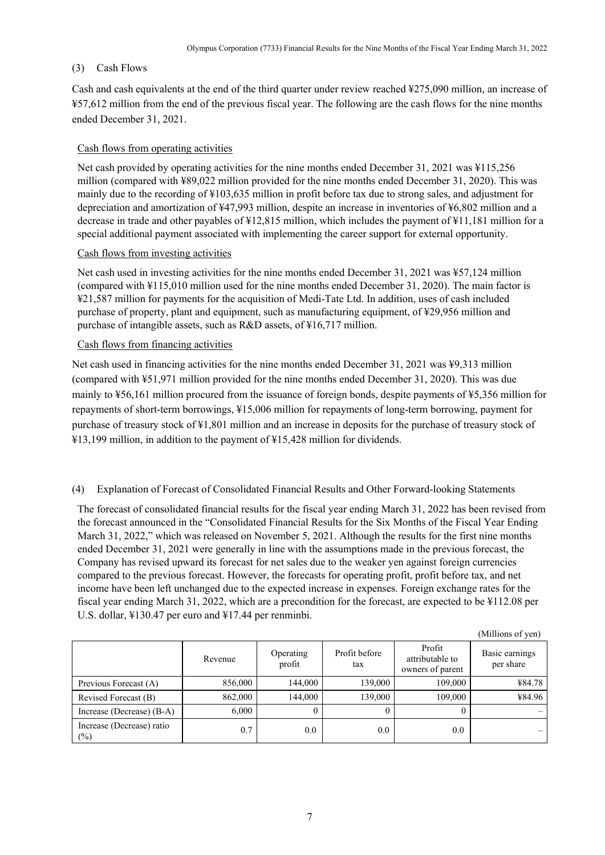### <span id="page-8-0"></span>(3) Cash Flows

Cash and cash equivalents at the end of the third quarter under review reached ¥275,090 million, an increase of ¥57,612 million from the end of the previous fiscal year. The following are the cash flows for the nine months ended December 31, 2021.

### Cash flows from operating activities

Net cash provided by operating activities for the nine months ended December 31, 2021 was ¥115,256 million (compared with ¥89,022 million provided for the nine months ended December 31, 2020). This was mainly due to the recording of ¥103,635 million in profit before tax due to strong sales, and adjustment for depreciation and amortization of ¥47,993 million, despite an increase in inventories of ¥6,802 million and a decrease in trade and other payables of ¥12,815 million, which includes the payment of ¥11,181 million for a special additional payment associated with implementing the career support for external opportunity.

### Cash flows from investing activities

Net cash used in investing activities for the nine months ended December 31, 2021 was ¥57,124 million (compared with ¥115,010 million used for the nine months ended December 31, 2020). The main factor is ¥21,587 million for payments for the acquisition of Medi-Tate Ltd. In addition, uses of cash included purchase of property, plant and equipment, such as manufacturing equipment, of ¥29,956 million and purchase of intangible assets, such as R&D assets, of ¥16,717 million.

### Cash flows from financing activities

Net cash used in financing activities for the nine months ended December 31, 2021 was ¥9,313 million (compared with ¥51,971 million provided for the nine months ended December 31, 2020). This was due mainly to ¥56,161 million procured from the issuance of foreign bonds, despite payments of ¥5,356 million for repayments of short-term borrowings, ¥15,006 million for repayments of long-term borrowing, payment for purchase of treasury stock of ¥1,801 million and an increase in deposits for the purchase of treasury stock of ¥13,199 million, in addition to the payment of ¥15,428 million for dividends.

### <span id="page-8-1"></span>(4) Explanation of Forecast of Consolidated Financial Results and Other Forward-looking Statements

The forecast of consolidated financial results for the fiscal year ending March 31, 2022 has been revised from the forecast announced in the "Consolidated Financial Results for the Six Months of the Fiscal Year Ending March 31, 2022," which was released on November 5, 2021. Although the results for the first nine months ended December 31, 2021 were generally in line with the assumptions made in the previous forecast, the Company has revised upward its forecast for net sales due to the weaker yen against foreign currencies compared to the previous forecast. However, the forecasts for operating profit, profit before tax, and net income have been left unchanged due to the expected increase in expenses. Foreign exchange rates for the fiscal year ending March 31, 2022, which are a precondition for the forecast, are expected to be ¥112.08 per U.S. dollar, ¥130.47 per euro and ¥17.44 per renminbi.

|                                     |         |                     |                      |                                               | (Millions of yen)           |
|-------------------------------------|---------|---------------------|----------------------|-----------------------------------------------|-----------------------------|
|                                     | Revenue | Operating<br>profit | Profit before<br>tax | Profit<br>attributable to<br>owners of parent | Basic earnings<br>per share |
| Previous Forecast (A)               | 856,000 | 144,000             | 139,000              | 109,000                                       | ¥84.78                      |
| Revised Forecast (B)                | 862,000 | 144,000             | 139,000              | 109,000                                       | ¥84.96                      |
| Increase (Decrease) (B-A)           | 6,000   |                     | 0                    |                                               |                             |
| Increase (Decrease) ratio<br>$(\%)$ | 0.7     | $0.0\,$             | 0.0                  | 0.0                                           |                             |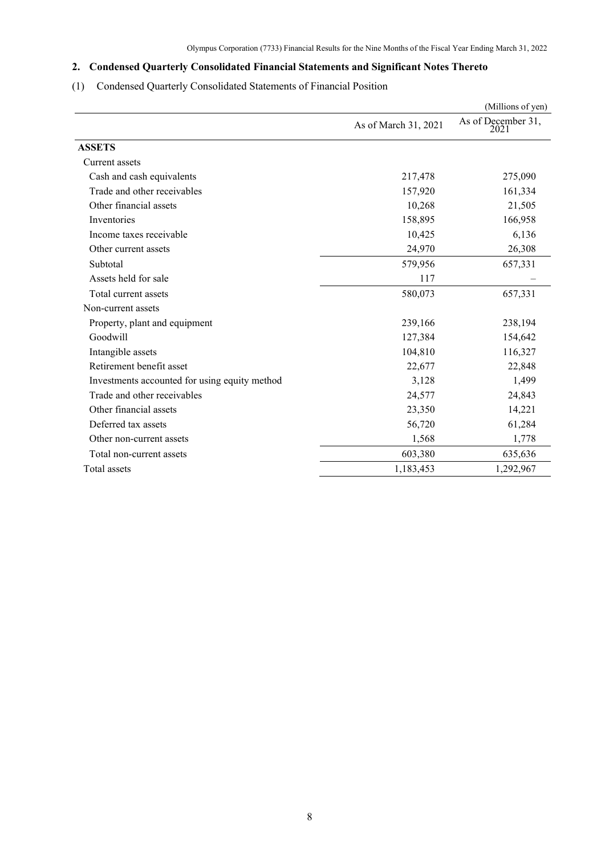# <span id="page-9-0"></span>**2. Condensed Quarterly Consolidated Financial Statements and Significant Notes Thereto**

# <span id="page-9-1"></span>(1) Condensed Quarterly Consolidated Statements of Financial Position

|                                               |                                                                                                                                                                                                                                     | (Millions of yen)          |
|-----------------------------------------------|-------------------------------------------------------------------------------------------------------------------------------------------------------------------------------------------------------------------------------------|----------------------------|
|                                               | As of March 31, 2021<br>217,478<br>157,920<br>10,268<br>158,895<br>10,425<br>24,970<br>579,956<br>117<br>580,073<br>239,166<br>127,384<br>104,810<br>22,677<br>3,128<br>24,577<br>23,350<br>56,720<br>1,568<br>603,380<br>1,183,453 | As of December 31,<br>2021 |
| <b>ASSETS</b>                                 |                                                                                                                                                                                                                                     |                            |
| Current assets                                |                                                                                                                                                                                                                                     |                            |
| Cash and cash equivalents                     |                                                                                                                                                                                                                                     | 275,090                    |
| Trade and other receivables                   |                                                                                                                                                                                                                                     | 161,334                    |
| Other financial assets                        |                                                                                                                                                                                                                                     | 21,505                     |
| Inventories                                   |                                                                                                                                                                                                                                     | 166,958                    |
| Income taxes receivable                       |                                                                                                                                                                                                                                     | 6,136                      |
| Other current assets                          |                                                                                                                                                                                                                                     | 26,308                     |
| Subtotal                                      |                                                                                                                                                                                                                                     | 657,331                    |
| Assets held for sale                          |                                                                                                                                                                                                                                     |                            |
| Total current assets                          |                                                                                                                                                                                                                                     | 657,331                    |
| Non-current assets                            |                                                                                                                                                                                                                                     |                            |
| Property, plant and equipment                 |                                                                                                                                                                                                                                     | 238,194                    |
| Goodwill                                      |                                                                                                                                                                                                                                     | 154,642                    |
| Intangible assets                             |                                                                                                                                                                                                                                     | 116,327                    |
| Retirement benefit asset                      |                                                                                                                                                                                                                                     | 22,848                     |
| Investments accounted for using equity method |                                                                                                                                                                                                                                     | 1,499                      |
| Trade and other receivables                   |                                                                                                                                                                                                                                     | 24,843                     |
| Other financial assets                        |                                                                                                                                                                                                                                     | 14,221                     |
| Deferred tax assets                           |                                                                                                                                                                                                                                     | 61,284                     |
| Other non-current assets                      |                                                                                                                                                                                                                                     | 1,778                      |
| Total non-current assets                      |                                                                                                                                                                                                                                     | 635,636                    |
| Total assets                                  |                                                                                                                                                                                                                                     | 1,292,967                  |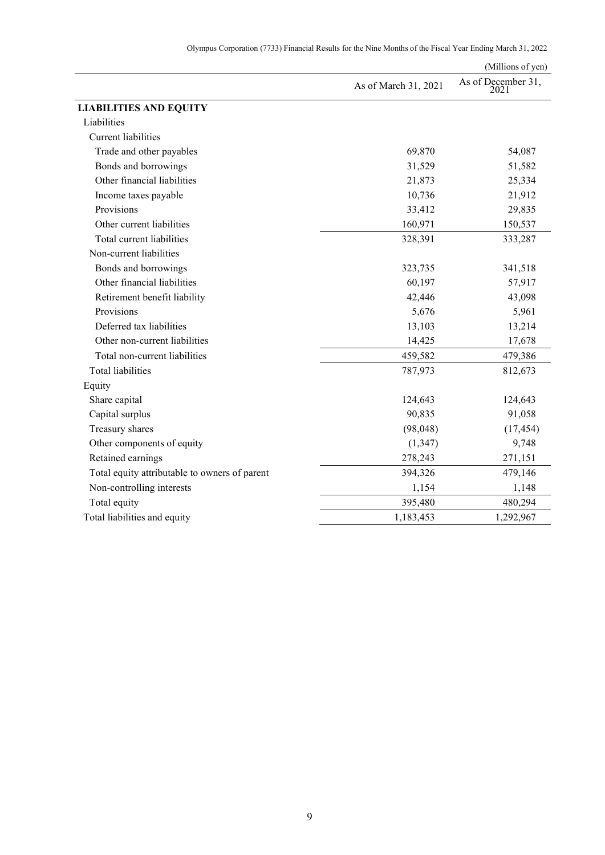|                                               |                      | (Millions of yen)          |
|-----------------------------------------------|----------------------|----------------------------|
|                                               | As of March 31, 2021 | As of December 31,<br>2021 |
| <b>LIABILITIES AND EQUITY</b>                 |                      |                            |
| Liabilities                                   |                      |                            |
| <b>Current liabilities</b>                    |                      |                            |
| Trade and other payables                      | 69,870               | 54,087                     |
| Bonds and borrowings                          | 31,529               | 51,582                     |
| Other financial liabilities                   | 21,873               | 25,334                     |
| Income taxes payable                          | 10,736               | 21,912                     |
| Provisions                                    | 33,412               | 29,835                     |
| Other current liabilities                     | 160,971              | 150,537                    |
| Total current liabilities                     | 328,391              | 333,287                    |
| Non-current liabilities                       |                      |                            |
| Bonds and borrowings                          | 323,735              | 341,518                    |
| Other financial liabilities                   | 60,197               | 57,917                     |
| Retirement benefit liability                  | 42,446               | 43,098                     |
| Provisions                                    | 5,676                | 5,961                      |
| Deferred tax liabilities                      | 13,103               | 13,214                     |
| Other non-current liabilities                 | 14,425               | 17,678                     |
| Total non-current liabilities                 | 459,582              | 479,386                    |
| <b>Total liabilities</b>                      | 787,973              | 812,673                    |
| Equity                                        |                      |                            |
| Share capital                                 | 124,643              | 124,643                    |
| Capital surplus                               | 90,835               | 91,058                     |
| Treasury shares                               | (98, 048)            | (17, 454)                  |
| Other components of equity                    | (1, 347)             | 9,748                      |
| Retained earnings                             | 278,243              | 271,151                    |
| Total equity attributable to owners of parent | 394,326              | 479,146                    |
| Non-controlling interests                     | 1,154                | 1,148                      |
| Total equity                                  | 395,480              | 480,294                    |
| Total liabilities and equity                  | 1,183,453            | 1,292,967                  |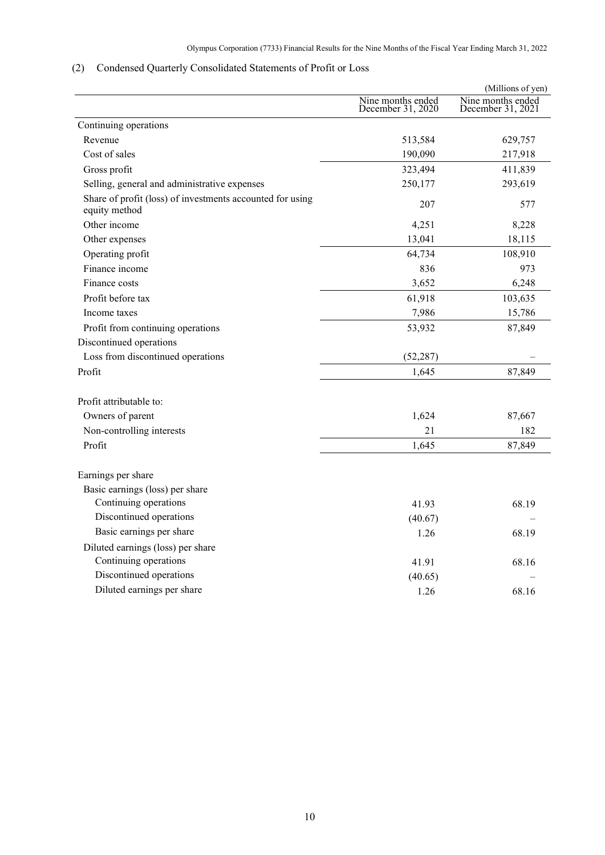# <span id="page-11-0"></span>(2) Condensed Quarterly Consolidated Statements of Profit or Loss

|                                                                            |                                        | (Millions of yen)                      |
|----------------------------------------------------------------------------|----------------------------------------|----------------------------------------|
|                                                                            | Nine months ended<br>December 31, 2020 | Nine months ended<br>December 31, 2021 |
| Continuing operations                                                      |                                        |                                        |
| Revenue                                                                    | 513,584                                | 629,757                                |
| Cost of sales                                                              | 190,090                                | 217,918                                |
| Gross profit                                                               | 323,494                                | 411,839                                |
| Selling, general and administrative expenses                               | 250,177                                | 293,619                                |
| Share of profit (loss) of investments accounted for using<br>equity method | 207                                    | 577                                    |
| Other income                                                               | 4,251                                  | 8,228                                  |
| Other expenses                                                             | 13,041                                 | 18,115                                 |
| Operating profit                                                           | 64,734                                 | 108,910                                |
| Finance income                                                             | 836                                    | 973                                    |
| Finance costs                                                              | 3,652                                  | 6,248                                  |
| Profit before tax                                                          | 61,918                                 | 103,635                                |
| Income taxes                                                               | 7,986                                  | 15,786                                 |
| Profit from continuing operations                                          | 53,932                                 | 87,849                                 |
| Discontinued operations                                                    |                                        |                                        |
| Loss from discontinued operations                                          | (52, 287)                              |                                        |
| Profit                                                                     | 1,645                                  | 87,849                                 |
| Profit attributable to:                                                    |                                        |                                        |
| Owners of parent                                                           | 1,624                                  | 87,667                                 |
| Non-controlling interests                                                  | 21                                     | 182                                    |
| Profit                                                                     | 1,645                                  | 87,849                                 |
| Earnings per share                                                         |                                        |                                        |
| Basic earnings (loss) per share                                            |                                        |                                        |
| Continuing operations                                                      | 41.93                                  | 68.19                                  |
| Discontinued operations                                                    | (40.67)                                |                                        |
| Basic earnings per share                                                   | 1.26                                   | 68.19                                  |
| Diluted earnings (loss) per share                                          |                                        |                                        |
| Continuing operations                                                      | 41.91                                  | 68.16                                  |
| Discontinued operations                                                    | (40.65)                                |                                        |
| Diluted earnings per share                                                 | 1.26                                   | 68.16                                  |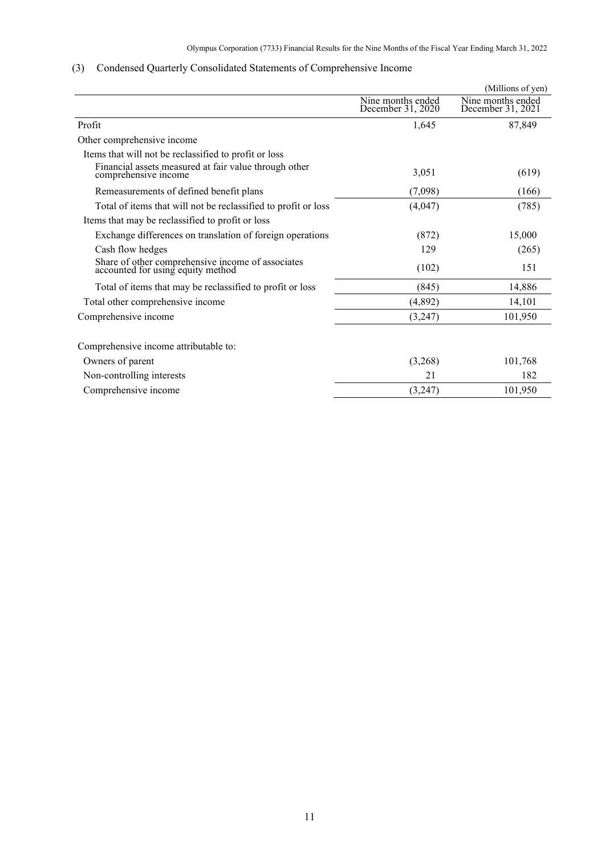|                                                                                        |                                        | (Millions of yen)                      |
|----------------------------------------------------------------------------------------|----------------------------------------|----------------------------------------|
|                                                                                        | Nine months ended<br>December 31, 2020 | Nine months ended<br>December 31, 2021 |
| Profit                                                                                 | 1,645                                  | 87,849                                 |
| Other comprehensive income                                                             |                                        |                                        |
| Items that will not be reclassified to profit or loss                                  |                                        |                                        |
| Financial assets measured at fair value through other<br>comprehensive income          | 3,051                                  | (619)                                  |
| Remeasurements of defined benefit plans                                                | (7,098)                                | (166)                                  |
| Total of items that will not be reclassified to profit or loss                         | (4,047)                                | (785)                                  |
| Items that may be reclassified to profit or loss                                       |                                        |                                        |
| Exchange differences on translation of foreign operations                              | (872)                                  | 15,000                                 |
| Cash flow hedges                                                                       | 129                                    | (265)                                  |
| Share of other comprehensive income of associates<br>accounted for using equity method | (102)                                  | 151                                    |
| Total of items that may be reclassified to profit or loss                              | (845)                                  | 14,886                                 |
| Total other comprehensive income                                                       | (4,892)                                | 14,101                                 |
| Comprehensive income                                                                   | (3,247)                                | 101,950                                |
| Comprehensive income attributable to:                                                  |                                        |                                        |
| Owners of parent                                                                       | (3,268)                                | 101,768                                |
| Non-controlling interests                                                              | 21                                     | 182                                    |
| Comprehensive income                                                                   | (3,247)                                | 101,950                                |
|                                                                                        |                                        |                                        |

# <span id="page-12-0"></span>(3) Condensed Quarterly Consolidated Statements of Comprehensive Income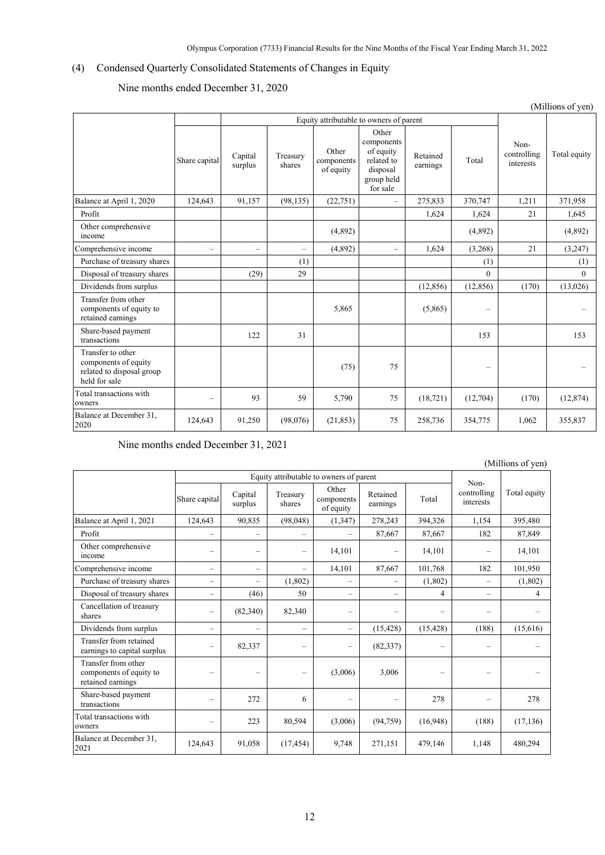# <span id="page-13-0"></span>(4) Condensed Quarterly Consolidated Statements of Changes in Equity

Nine months ended December 31, 2020

|                                                                                         | (Millions of yen)        |                          |                          |                                  |                                                                                      |                      |                          |                                  |              |
|-----------------------------------------------------------------------------------------|--------------------------|--------------------------|--------------------------|----------------------------------|--------------------------------------------------------------------------------------|----------------------|--------------------------|----------------------------------|--------------|
|                                                                                         |                          |                          |                          |                                  | Equity attributable to owners of parent                                              |                      |                          |                                  |              |
|                                                                                         | Share capital            | Capital<br>surplus       | Treasury<br>shares       | Other<br>components<br>of equity | Other<br>components<br>of equity<br>related to<br>disposal<br>group held<br>for sale | Retained<br>earnings | Total                    | Non-<br>controlling<br>interests | Total equity |
| Balance at April 1, 2020                                                                | 124,643                  | 91.157                   | (98, 135)                | (22, 751)                        | $\overline{\phantom{0}}$                                                             | 275,833              | 370,747                  | 1,211                            | 371.958      |
| Profit                                                                                  |                          |                          |                          |                                  |                                                                                      | 1,624                | 1,624                    | 21                               | 1,645        |
| Other comprehensive<br>income                                                           |                          |                          |                          | (4,892)                          |                                                                                      |                      | (4,892)                  |                                  | (4,892)      |
| Comprehensive income                                                                    | $\overline{\phantom{0}}$ | $\overline{\phantom{0}}$ | $\overline{\phantom{0}}$ | (4,892)                          | $\overline{\phantom{0}}$                                                             | 1.624                | (3,268)                  | 21                               | (3,247)      |
| Purchase of treasury shares                                                             |                          |                          | (1)                      |                                  |                                                                                      |                      | (1)                      |                                  | (1)          |
| Disposal of treasury shares                                                             |                          | (29)                     | 29                       |                                  |                                                                                      |                      | $\theta$                 |                                  | $\theta$     |
| Dividends from surplus                                                                  |                          |                          |                          |                                  |                                                                                      | (12, 856)            | (12, 856)                | (170)                            | (13,026)     |
| Transfer from other<br>components of equity to<br>retained earnings                     |                          |                          |                          | 5,865                            |                                                                                      | (5,865)              | $\overline{\phantom{0}}$ |                                  |              |
| Share-based payment<br>transactions                                                     |                          | 122                      | 31                       |                                  |                                                                                      |                      | 153                      |                                  | 153          |
| Transfer to other<br>components of equity<br>related to disposal group<br>held for sale |                          |                          |                          | (75)                             | 75                                                                                   |                      | -                        |                                  |              |
| Total transactions with<br>owners                                                       | $\overline{\phantom{0}}$ | 93                       | 59                       | 5,790                            | 75                                                                                   | (18, 721)            | (12,704)                 | (170)                            | (12, 874)    |
| Balance at December 31,<br>2020                                                         | 124,643                  | 91,250                   | (98,076)                 | (21, 853)                        | 75                                                                                   | 258,736              | 354,775                  | 1,062                            | 355,837      |

Nine months ended December 31, 2021

| (Millions of yen)                                                   |                          |                          |                          |                                         |                          |           |                          |              |
|---------------------------------------------------------------------|--------------------------|--------------------------|--------------------------|-----------------------------------------|--------------------------|-----------|--------------------------|--------------|
|                                                                     |                          |                          |                          | Equity attributable to owners of parent |                          |           | Non-                     |              |
|                                                                     | Share capital            | Capital<br>surplus       | Treasury<br>shares       | Other<br>components<br>of equity        | Retained<br>earnings     | Total     | controlling<br>interests | Total equity |
| Balance at April 1, 2021                                            | 124,643                  | 90,835                   | (98,048)                 | (1, 347)                                | 278,243                  | 394,326   | 1,154                    | 395,480      |
| Profit                                                              |                          |                          | $\overline{\phantom{0}}$ |                                         | 87,667                   | 87,667    | 182                      | 87,849       |
| Other comprehensive<br>income                                       |                          |                          | $\overline{\phantom{0}}$ | 14,101                                  |                          | 14,101    |                          | 14,101       |
| Comprehensive income                                                | $\overline{\phantom{m}}$ |                          | $\overline{\phantom{0}}$ | 14,101                                  | 87,667                   | 101,768   | 182                      | 101,950      |
| Purchase of treasury shares                                         |                          | $\overline{\phantom{0}}$ | (1,802)                  |                                         |                          | (1,802)   | -                        | (1,802)      |
| Disposal of treasury shares                                         | $\overline{\phantom{a}}$ | (46)                     | 50                       | $\overline{\phantom{0}}$                | $\overline{\phantom{0}}$ | 4         | $\overline{\phantom{m}}$ | 4            |
| Cancellation of treasury<br>shares                                  |                          | (82,340)                 | 82,340                   | $\overline{\phantom{a}}$                | -                        |           |                          |              |
| Dividends from surplus                                              | $\overline{\phantom{a}}$ | $\overline{\phantom{0}}$ | $\overline{\phantom{0}}$ |                                         | (15, 428)                | (15, 428) | (188)                    | (15,616)     |
| Transfer from retained<br>earnings to capital surplus               |                          | 82,337                   | $\overline{\phantom{0}}$ | -                                       | (82, 337)                | -         | $\overline{\phantom{0}}$ |              |
| Transfer from other<br>components of equity to<br>retained earnings |                          |                          | -                        | (3,006)                                 | 3,006                    |           | ۰                        |              |
| Share-based payment<br>transactions                                 |                          | 272                      | 6                        |                                         |                          | 278       |                          | 278          |
| Total transactions with<br>owners                                   |                          | 223                      | 80,594                   | (3,006)                                 | (94, 759)                | (16,948)  | (188)                    | (17, 136)    |
| Balance at December 31,<br>2021                                     | 124,643                  | 91,058                   | (17, 454)                | 9,748                                   | 271,151                  | 479,146   | 1,148                    | 480,294      |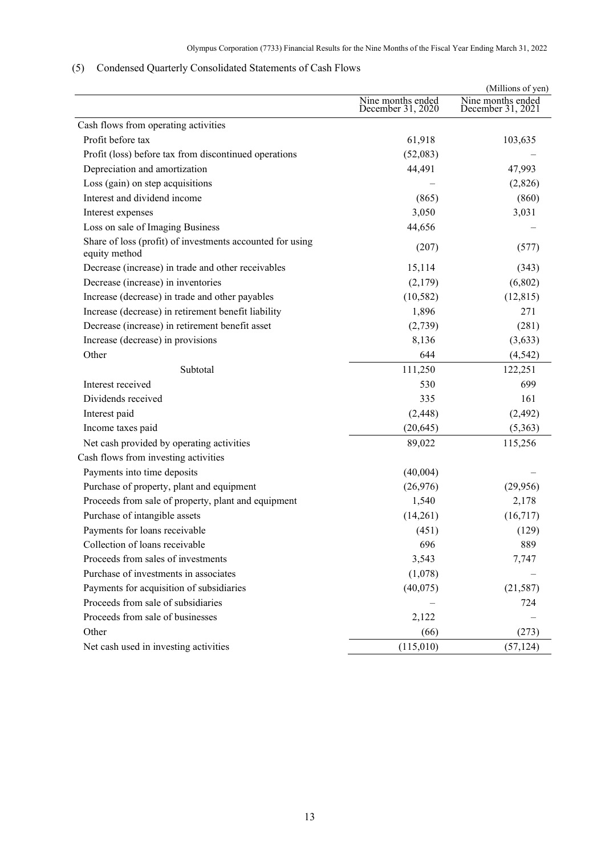# <span id="page-14-0"></span>(5) Condensed Quarterly Consolidated Statements of Cash Flows

|                                                                            |                                        | (Millions of yen)                      |
|----------------------------------------------------------------------------|----------------------------------------|----------------------------------------|
|                                                                            | Nine months ended<br>December 31, 2020 | Nine months ended<br>December 31, 2021 |
| Cash flows from operating activities                                       |                                        |                                        |
| Profit before tax                                                          | 61,918                                 | 103,635                                |
| Profit (loss) before tax from discontinued operations                      | (52,083)                               |                                        |
| Depreciation and amortization                                              | 44,491                                 | 47,993                                 |
| Loss (gain) on step acquisitions                                           |                                        | (2,826)                                |
| Interest and dividend income                                               | (865)                                  | (860)                                  |
| Interest expenses                                                          | 3,050                                  | 3,031                                  |
| Loss on sale of Imaging Business                                           | 44,656                                 |                                        |
| Share of loss (profit) of investments accounted for using<br>equity method | (207)                                  | (577)                                  |
| Decrease (increase) in trade and other receivables                         | 15,114                                 | (343)                                  |
| Decrease (increase) in inventories                                         | (2,179)                                | (6,802)                                |
| Increase (decrease) in trade and other payables                            | (10, 582)                              | (12, 815)                              |
| Increase (decrease) in retirement benefit liability                        | 1,896                                  | 271                                    |
| Decrease (increase) in retirement benefit asset                            | (2,739)                                | (281)                                  |
| Increase (decrease) in provisions                                          | 8,136                                  | (3,633)                                |
| Other                                                                      | 644                                    | (4, 542)                               |
| Subtotal                                                                   | 111,250                                | 122,251                                |
| Interest received                                                          | 530                                    | 699                                    |
| Dividends received                                                         | 335                                    | 161                                    |
| Interest paid                                                              | (2, 448)                               | (2, 492)                               |
| Income taxes paid                                                          | (20, 645)                              | (5,363)                                |
| Net cash provided by operating activities                                  | 89,022                                 | 115,256                                |
| Cash flows from investing activities                                       |                                        |                                        |
| Payments into time deposits                                                | (40,004)                               |                                        |
| Purchase of property, plant and equipment                                  | (26,976)                               | (29,956)                               |
| Proceeds from sale of property, plant and equipment                        | 1,540                                  | 2,178                                  |
| Purchase of intangible assets                                              | (14,261)                               | (16, 717)                              |
| Payments for loans receivable                                              | (451)                                  | (129)                                  |
| Collection of loans receivable                                             | 696                                    | 889                                    |
| Proceeds from sales of investments                                         | 3,543                                  | 7,747                                  |
| Purchase of investments in associates                                      | (1,078)                                |                                        |
| Payments for acquisition of subsidiaries                                   | (40,075)                               | (21, 587)                              |
| Proceeds from sale of subsidiaries                                         |                                        | 724                                    |
| Proceeds from sale of businesses                                           | 2,122                                  |                                        |
| Other                                                                      | (66)                                   | (273)                                  |
| Net cash used in investing activities                                      | (115,010)                              | (57, 124)                              |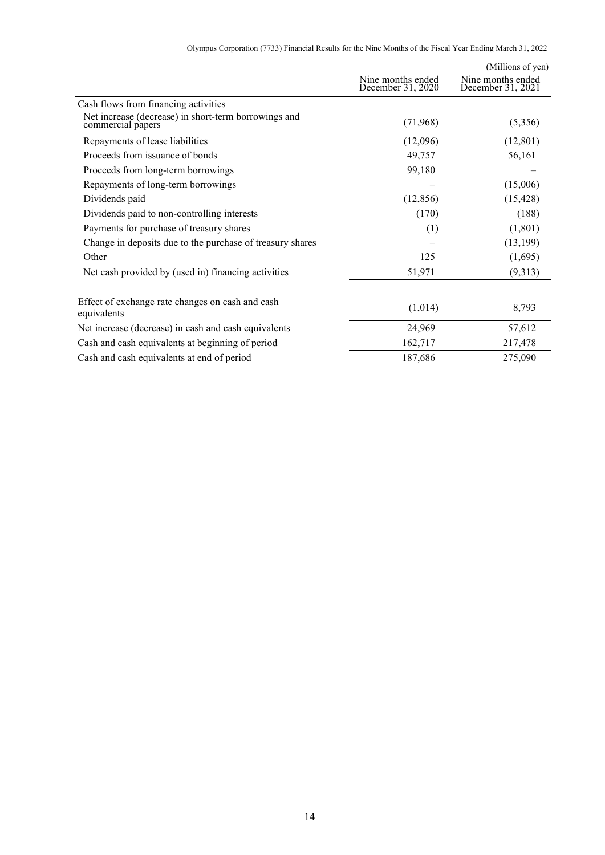|                                                                           |                                        | (Millions of yen)                      |
|---------------------------------------------------------------------------|----------------------------------------|----------------------------------------|
|                                                                           | Nine months ended<br>December 31, 2020 | Nine months ended<br>December 31, 2021 |
| Cash flows from financing activities                                      |                                        |                                        |
| Net increase (decrease) in short-term borrowings and<br>commercial papers | (71,968)                               | (5,356)                                |
| Repayments of lease liabilities                                           | (12,096)                               | (12, 801)                              |
| Proceeds from issuance of bonds                                           | 49,757                                 | 56,161                                 |
| Proceeds from long-term borrowings                                        | 99,180                                 |                                        |
| Repayments of long-term borrowings                                        |                                        | (15,006)                               |
| Dividends paid                                                            | (12, 856)                              | (15, 428)                              |
| Dividends paid to non-controlling interests                               | (170)                                  | (188)                                  |
| Payments for purchase of treasury shares                                  | (1)                                    | (1,801)                                |
| Change in deposits due to the purchase of treasury shares                 |                                        | (13, 199)                              |
| Other                                                                     | 125                                    | (1,695)                                |
| Net cash provided by (used in) financing activities                       | 51,971                                 | (9,313)                                |
| Effect of exchange rate changes on cash and cash<br>equivalents           | (1,014)                                | 8,793                                  |
| Net increase (decrease) in cash and cash equivalents                      | 24,969                                 | 57,612                                 |
| Cash and cash equivalents at beginning of period                          | 162,717                                | 217,478                                |
| Cash and cash equivalents at end of period                                | 187,686                                | 275,090                                |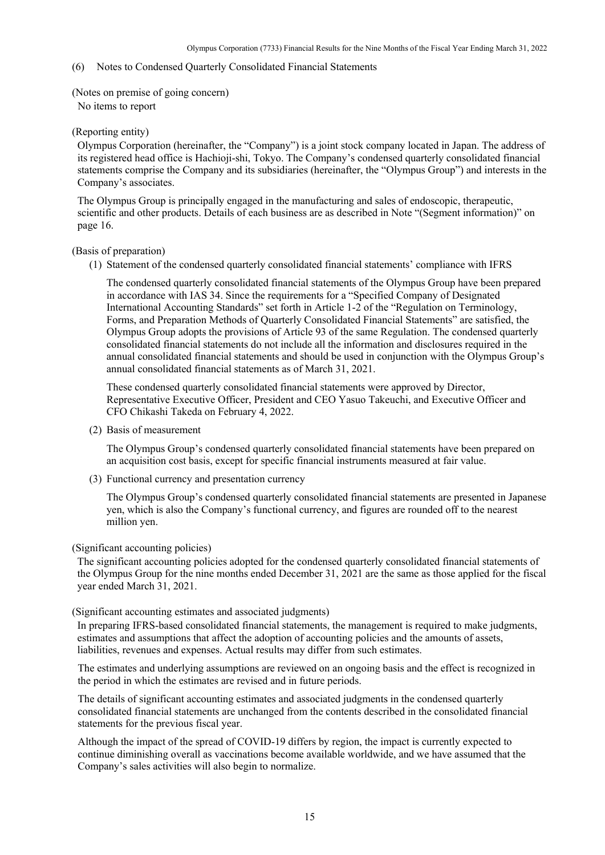### <span id="page-16-0"></span>(6) Notes to Condensed Quarterly Consolidated Financial Statements

<span id="page-16-1"></span>(Notes on premise of going concern)

No items to report

### <span id="page-16-2"></span>(Reporting entity)

Olympus Corporation (hereinafter, the "Company") is a joint stock company located in Japan. The address of its registered head office is Hachioji-shi, Tokyo. The Company's condensed quarterly consolidated financial statements comprise the Company and its subsidiaries (hereinafter, the "Olympus Group") and interests in the Company's associates.

The Olympus Group is principally engaged in the manufacturing and sales of endoscopic, therapeutic, scientific and other products. Details of each business are as described in Note "(Segment information)" on page 16.

### <span id="page-16-3"></span>(Basis of preparation)

(1) Statement of the condensed quarterly consolidated financial statements' compliance with IFRS

The condensed quarterly consolidated financial statements of the Olympus Group have been prepared in accordance with IAS 34. Since the requirements for a "Specified Company of Designated International Accounting Standards" set forth in Article 1-2 of the "Regulation on Terminology, Forms, and Preparation Methods of Quarterly Consolidated Financial Statements" are satisfied, the Olympus Group adopts the provisions of Article 93 of the same Regulation. The condensed quarterly consolidated financial statements do not include all the information and disclosures required in the annual consolidated financial statements and should be used in conjunction with the Olympus Group's annual consolidated financial statements as of March 31, 2021.

These condensed quarterly consolidated financial statements were approved by Director, Representative Executive Officer, President and CEO Yasuo Takeuchi, and Executive Officer and CFO Chikashi Takeda on February 4, 2022.

(2) Basis of measurement

The Olympus Group's condensed quarterly consolidated financial statements have been prepared on an acquisition cost basis, except for specific financial instruments measured at fair value.

(3) Functional currency and presentation currency

The Olympus Group's condensed quarterly consolidated financial statements are presented in Japanese yen, which is also the Company's functional currency, and figures are rounded off to the nearest million yen.

#### <span id="page-16-4"></span>(Significant accounting policies)

The significant accounting policies adopted for the condensed quarterly consolidated financial statements of the Olympus Group for the nine months ended December 31, 2021 are the same as those applied for the fiscal year ended March 31, 2021.

#### <span id="page-16-5"></span>(Significant accounting estimates and associated judgments)

In preparing IFRS-based consolidated financial statements, the management is required to make judgments, estimates and assumptions that affect the adoption of accounting policies and the amounts of assets, liabilities, revenues and expenses. Actual results may differ from such estimates.

The estimates and underlying assumptions are reviewed on an ongoing basis and the effect is recognized in the period in which the estimates are revised and in future periods.

The details of significant accounting estimates and associated judgments in the condensed quarterly consolidated financial statements are unchanged from the contents described in the consolidated financial statements for the previous fiscal year.

Although the impact of the spread of COVID-19 differs by region, the impact is currently expected to continue diminishing overall as vaccinations become available worldwide, and we have assumed that the Company's sales activities will also begin to normalize.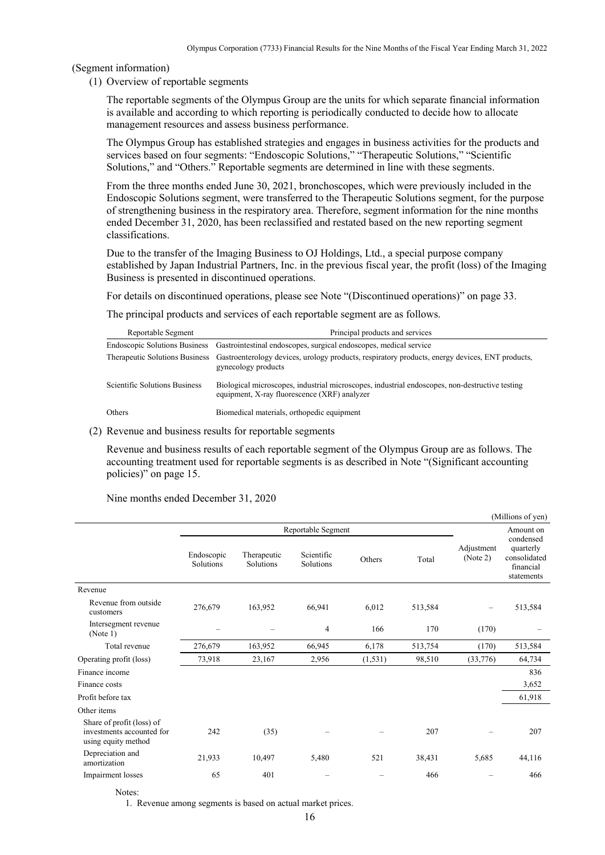<span id="page-17-0"></span>(Segment information)

(1) Overview of reportable segments

The reportable segments of the Olympus Group are the units for which separate financial information is available and according to which reporting is periodically conducted to decide how to allocate management resources and assess business performance.

The Olympus Group has established strategies and engages in business activities for the products and services based on four segments: "Endoscopic Solutions," "Therapeutic Solutions," "Scientific Solutions," and "Others." Reportable segments are determined in line with these segments.

From the three months ended June 30, 2021, bronchoscopes, which were previously included in the Endoscopic Solutions segment, were transferred to the Therapeutic Solutions segment, for the purpose of strengthening business in the respiratory area. Therefore, segment information for the nine months ended December 31, 2020, has been reclassified and restated based on the new reporting segment classifications.

Due to the transfer of the Imaging Business to OJ Holdings, Ltd., a special purpose company established by Japan Industrial Partners, Inc. in the previous fiscal year, the profit (loss) of the Imaging Business is presented in discontinued operations.

For details on discontinued operations, please see Note "(Discontinued operations)" on page 33.

The principal products and services of each reportable segment are as follows.

| Reportable Segment            | Principal products and services                                                                                                                       |
|-------------------------------|-------------------------------------------------------------------------------------------------------------------------------------------------------|
|                               | Endoscopic Solutions Business Gastrointestinal endoscopes, surgical endoscopes, medical service                                                       |
|                               | Therapeutic Solutions Business Gastroenterology devices, urology products, respiratory products, energy devices, ENT products,<br>gynecology products |
| Scientific Solutions Business | Biological microscopes, industrial microscopes, industrial endoscopes, non-destructive testing<br>equipment, X-ray fluorescence (XRF) analyzer        |
| Others                        | Biomedical materials, orthopedic equipment                                                                                                            |

(2) Revenue and business results for reportable segments

Revenue and business results of each reportable segment of the Olympus Group are as follows. The accounting treatment used for reportable segments is as described in Note "(Significant accounting policies)" on page 15.

Nine months ended December 31, 2020

|                                                                               |                                |                                 |                         |          |         |                        | (Millions of yen)                                                              |
|-------------------------------------------------------------------------------|--------------------------------|---------------------------------|-------------------------|----------|---------|------------------------|--------------------------------------------------------------------------------|
|                                                                               |                                |                                 | Reportable Segment      |          |         |                        | Amount on<br>condensed<br>quarterly<br>consolidated<br>financial<br>statements |
|                                                                               | Endoscopic<br><b>Solutions</b> | Therapeutic<br><b>Solutions</b> | Scientific<br>Solutions | Others   | Total   | Adjustment<br>(Note 2) |                                                                                |
| Revenue                                                                       |                                |                                 |                         |          |         |                        |                                                                                |
| Revenue from outside<br>customers                                             | 276,679                        | 163,952                         | 66,941                  | 6,012    | 513,584 | -                      | 513,584                                                                        |
| Intersegment revenue<br>(Note 1)                                              |                                |                                 | 4                       | 166      | 170     | (170)                  |                                                                                |
| Total revenue                                                                 | 276,679                        | 163,952                         | 66,945                  | 6,178    | 513,754 | (170)                  | 513,584                                                                        |
| Operating profit (loss)                                                       | 73,918                         | 23,167                          | 2,956                   | (1, 531) | 98,510  | (33,776)               | 64,734                                                                         |
| Finance income                                                                |                                |                                 |                         |          |         |                        | 836                                                                            |
| Finance costs                                                                 |                                |                                 |                         |          |         |                        | 3,652                                                                          |
| Profit before tax                                                             |                                |                                 |                         |          |         |                        | 61,918                                                                         |
| Other items                                                                   |                                |                                 |                         |          |         |                        |                                                                                |
| Share of profit (loss) of<br>investments accounted for<br>using equity method | 242                            | (35)                            |                         |          | 207     |                        | 207                                                                            |
| Depreciation and<br>amortization                                              | 21,933                         | 10,497                          | 5,480                   | 521      | 38,431  | 5,685                  | 44,116                                                                         |
| Impairment losses                                                             | 65                             | 401                             |                         |          | 466     |                        | 466                                                                            |

Notes:

1. Revenue among segments is based on actual market prices.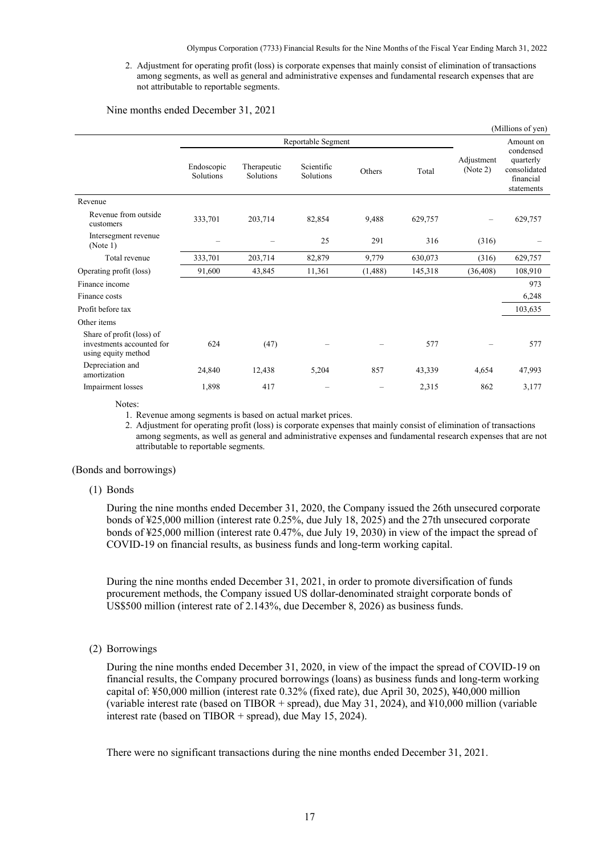2. Adjustment for operating profit (loss) is corporate expenses that mainly consist of elimination of transactions among segments, as well as general and administrative expenses and fundamental research expenses that are not attributable to reportable segments.

Nine months ended December 31, 2021

|                                                                               |                         |                                 |                         |          |         |                        | (Millions of yen)                                                 |
|-------------------------------------------------------------------------------|-------------------------|---------------------------------|-------------------------|----------|---------|------------------------|-------------------------------------------------------------------|
|                                                                               |                         |                                 | Reportable Segment      |          |         |                        | Amount on                                                         |
|                                                                               | Endoscopic<br>Solutions | Therapeutic<br><b>Solutions</b> | Scientific<br>Solutions | Others   | Total   | Adjustment<br>(Note 2) | condensed<br>quarterly<br>consolidated<br>financial<br>statements |
| Revenue                                                                       |                         |                                 |                         |          |         |                        |                                                                   |
| Revenue from outside<br>customers                                             | 333,701                 | 203,714                         | 82,854                  | 9,488    | 629,757 | -                      | 629,757                                                           |
| Intersegment revenue<br>(Note 1)                                              |                         |                                 | 25                      | 291      | 316     | (316)                  |                                                                   |
| Total revenue                                                                 | 333,701                 | 203,714                         | 82,879                  | 9,779    | 630,073 | (316)                  | 629,757                                                           |
| Operating profit (loss)                                                       | 91,600                  | 43,845                          | 11,361                  | (1, 488) | 145,318 | (36, 408)              | 108,910                                                           |
| Finance income                                                                |                         |                                 |                         |          |         |                        | 973                                                               |
| Finance costs                                                                 |                         |                                 |                         |          |         |                        | 6,248                                                             |
| Profit before tax                                                             |                         |                                 |                         |          |         |                        | 103,635                                                           |
| Other items                                                                   |                         |                                 |                         |          |         |                        |                                                                   |
| Share of profit (loss) of<br>investments accounted for<br>using equity method | 624                     | (47)                            |                         |          | 577     |                        | 577                                                               |
| Depreciation and<br>amortization                                              | 24,840                  | 12,438                          | 5,204                   | 857      | 43,339  | 4,654                  | 47,993                                                            |
| Impairment losses                                                             | 1,898                   | 417                             |                         |          | 2,315   | 862                    | 3,177                                                             |

Notes:

1. Revenue among segments is based on actual market prices.

2. Adjustment for operating profit (loss) is corporate expenses that mainly consist of elimination of transactions among segments, as well as general and administrative expenses and fundamental research expenses that are not attributable to reportable segments.

#### <span id="page-18-0"></span>(Bonds and borrowings)

#### (1) Bonds

During the nine months ended December 31, 2020, the Company issued the 26th unsecured corporate bonds of ¥25,000 million (interest rate 0.25%, due July 18, 2025) and the 27th unsecured corporate bonds of ¥25,000 million (interest rate 0.47%, due July 19, 2030) in view of the impact the spread of COVID-19 on financial results, as business funds and long-term working capital.

During the nine months ended December 31, 2021, in order to promote diversification of funds procurement methods, the Company issued US dollar-denominated straight corporate bonds of US\$500 million (interest rate of 2.143%, due December 8, 2026) as business funds.

(2) Borrowings

During the nine months ended December 31, 2020, in view of the impact the spread of COVID-19 on financial results, the Company procured borrowings (loans) as business funds and long-term working capital of: ¥50,000 million (interest rate 0.32% (fixed rate), due April 30, 2025), ¥40,000 million (variable interest rate (based on TIBOR + spread), due May 31, 2024), and ¥10,000 million (variable interest rate (based on TIBOR + spread), due May 15, 2024).

There were no significant transactions during the nine months ended December 31, 2021.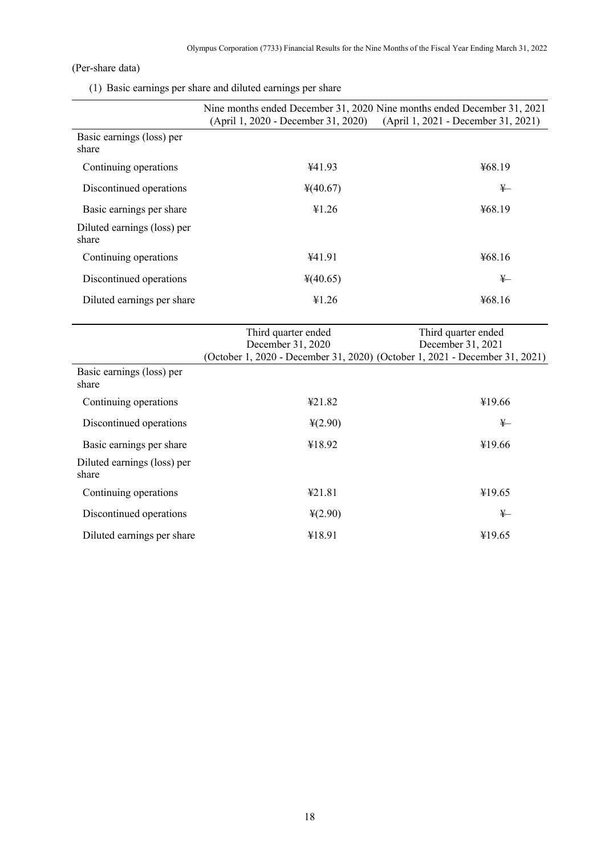# <span id="page-19-0"></span>(Per-share data)

(1) Basic earnings per share and diluted earnings per share

|                                      | Nine months ended December 31, 2020 Nine months ended December 31, 2021<br>(April 1, 2020 - December 31, 2020)          | (April 1, 2021 - December 31, 2021)      |
|--------------------------------------|-------------------------------------------------------------------------------------------------------------------------|------------------------------------------|
| Basic earnings (loss) per<br>share   |                                                                                                                         |                                          |
| Continuing operations                | ¥41.93                                                                                                                  | ¥68.19                                   |
| Discontinued operations              | ¥(40.67)                                                                                                                | $\frac{1}{2}$                            |
| Basic earnings per share             | ¥1.26                                                                                                                   | ¥68.19                                   |
| Diluted earnings (loss) per<br>share |                                                                                                                         |                                          |
| Continuing operations                | ¥41.91                                                                                                                  | ¥68.16                                   |
| Discontinued operations              | 4(40.65)                                                                                                                | $\frac{1}{2}$                            |
| Diluted earnings per share           | ¥1.26                                                                                                                   | ¥68.16                                   |
|                                      | Third quarter ended<br>December 31, 2020<br>(October 1, 2020 - December 31, 2020) (October 1, 2021 - December 31, 2021) | Third quarter ended<br>December 31, 2021 |
| Basic earnings (loss) per<br>share   |                                                                                                                         |                                          |
| Continuing operations                | ¥21.82                                                                                                                  | ¥19.66                                   |
| Discontinued operations              | $\frac{1}{2}(2.90)$                                                                                                     | $\frac{1}{2}$                            |
| Basic earnings per share             | ¥18.92                                                                                                                  | ¥19.66                                   |
| Diluted earnings (loss) per<br>share |                                                                                                                         |                                          |
| Continuing operations                | 421.81                                                                                                                  | ¥19.65                                   |
| Discontinued operations              | $\frac{1}{2}(2.90)$                                                                                                     | $\frac{1}{2}$                            |

Diluted earnings per share  $\text{\#18.91}$   $\text{\#18.91}$   $\text{\#19.65}$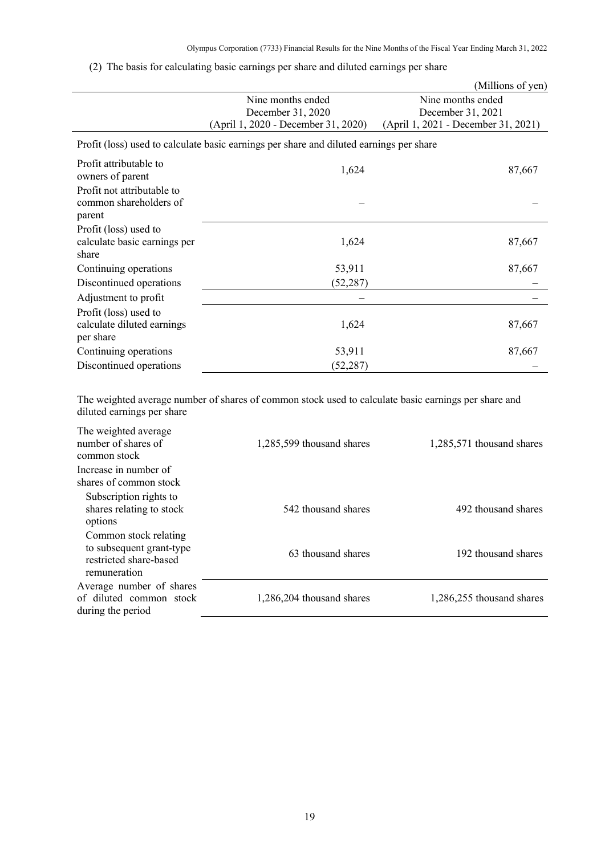# (2) The basis for calculating basic earnings per share and diluted earnings per share

|                                                                |                                                                                         | (Millions of yen)                   |
|----------------------------------------------------------------|-----------------------------------------------------------------------------------------|-------------------------------------|
|                                                                | Nine months ended                                                                       | Nine months ended                   |
|                                                                | December 31, 2020                                                                       | December 31, 2021                   |
|                                                                | (April 1, 2020 - December 31, 2020)                                                     | (April 1, 2021 - December 31, 2021) |
|                                                                | Profit (loss) used to calculate basic earnings per share and diluted earnings per share |                                     |
| Profit attributable to<br>owners of parent                     | 1,624                                                                                   | 87,667                              |
| Profit not attributable to<br>common shareholders of<br>parent |                                                                                         |                                     |
| Profit (loss) used to                                          |                                                                                         |                                     |
| calculate basic earnings per                                   | 1,624                                                                                   | 87,667                              |
| share                                                          |                                                                                         |                                     |
| Continuing operations                                          | 53,911                                                                                  | 87,667                              |
| Discontinued operations                                        | (52, 287)                                                                               |                                     |
| Adjustment to profit                                           |                                                                                         |                                     |
| Profit (loss) used to                                          |                                                                                         |                                     |
| calculate diluted earnings<br>per share                        | 1,624                                                                                   | 87,667                              |
| Continuing operations                                          | 53,911                                                                                  | 87,667                              |
| Discontinued operations                                        | (52, 287)                                                                               |                                     |
|                                                                |                                                                                         |                                     |

The weighted average number of shares of common stock used to calculate basic earnings per share and diluted earnings per share

| The weighted average                                                                        |                           |                           |
|---------------------------------------------------------------------------------------------|---------------------------|---------------------------|
| number of shares of                                                                         | 1,285,599 thousand shares | 1,285,571 thousand shares |
| common stock                                                                                |                           |                           |
| Increase in number of                                                                       |                           |                           |
| shares of common stock                                                                      |                           |                           |
| Subscription rights to<br>shares relating to stock<br>options                               | 542 thousand shares       | 492 thousand shares       |
| Common stock relating<br>to subsequent grant-type<br>restricted share-based<br>remuneration | 63 thousand shares        | 192 thousand shares       |
| Average number of shares<br>of diluted common stock<br>during the period                    | 1,286,204 thousand shares | 1,286,255 thousand shares |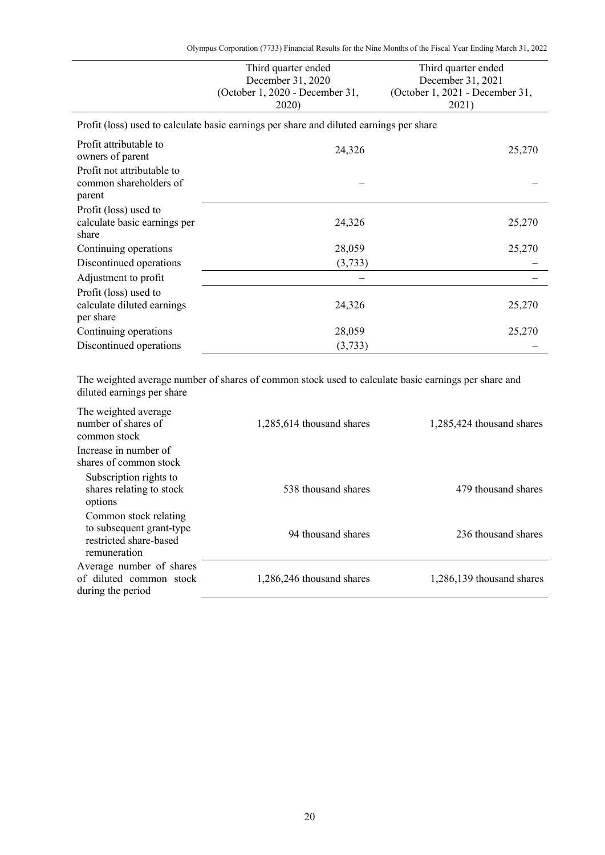Olympus Corporation (7733) Financial Results for the Nine Months of the Fiscal Year Ending March 31, 2022

|                                                                  | Third quarter ended<br>December 31, 2020<br>(October 1, 2020 - December 31,<br>2020)    | Third quarter ended<br>December 31, 2021<br>(October 1, 2021 - December 31,<br>2021) |
|------------------------------------------------------------------|-----------------------------------------------------------------------------------------|--------------------------------------------------------------------------------------|
|                                                                  | Profit (loss) used to calculate basic earnings per share and diluted earnings per share |                                                                                      |
| Profit attributable to<br>owners of parent                       | 24,326                                                                                  | 25,270                                                                               |
| Profit not attributable to<br>common shareholders of<br>parent   |                                                                                         |                                                                                      |
| Profit (loss) used to<br>calculate basic earnings per<br>share   | 24,326                                                                                  | 25,270                                                                               |
| Continuing operations                                            | 28,059                                                                                  | 25,270                                                                               |
| Discontinued operations                                          | (3,733)                                                                                 |                                                                                      |
| Adjustment to profit                                             |                                                                                         |                                                                                      |
| Profit (loss) used to<br>calculate diluted earnings<br>per share | 24,326                                                                                  | 25,270                                                                               |
| Continuing operations                                            | 28,059                                                                                  | 25,270                                                                               |
| Discontinued operations                                          | (3,733)                                                                                 |                                                                                      |

The weighted average number of shares of common stock used to calculate basic earnings per share and diluted earnings per share

| The weighted average<br>number of shares of<br>common stock                                 | 1,285,614 thousand shares | 1,285,424 thousand shares |
|---------------------------------------------------------------------------------------------|---------------------------|---------------------------|
| Increase in number of                                                                       |                           |                           |
| shares of common stock                                                                      |                           |                           |
| Subscription rights to<br>shares relating to stock<br>options                               | 538 thousand shares       | 479 thousand shares       |
| Common stock relating<br>to subsequent grant-type<br>restricted share-based<br>remuneration | 94 thousand shares        | 236 thousand shares       |
| Average number of shares<br>of diluted common stock<br>during the period                    | 1,286,246 thousand shares | 1,286,139 thousand shares |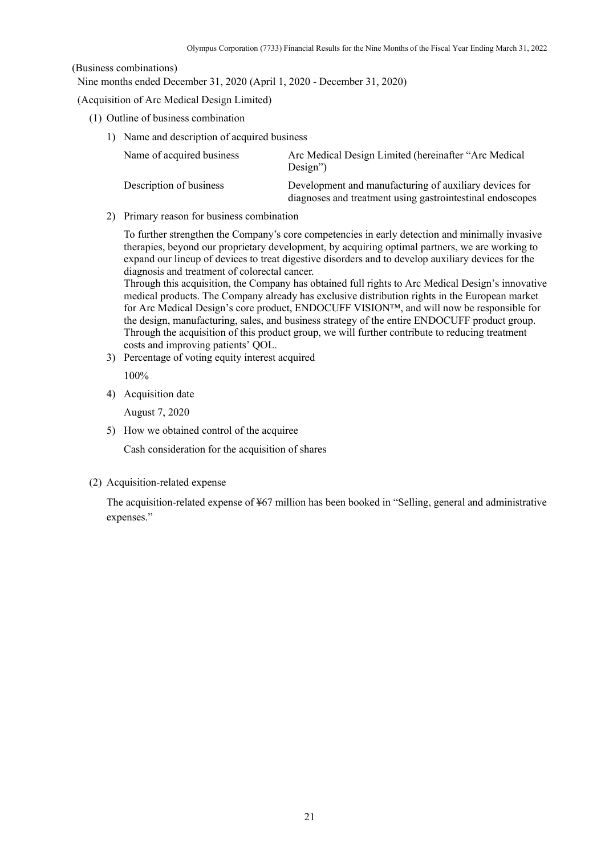### <span id="page-22-0"></span>(Business combinations)

Nine months ended December 31, 2020 (April 1, 2020 - December 31, 2020)

### (Acquisition of Arc Medical Design Limited)

- (1) Outline of business combination
	- 1) Name and description of acquired business

| Name of acquired business | Arc Medical Design Limited (hereinafter "Arc Medical<br>$Design$ ")                                                 |
|---------------------------|---------------------------------------------------------------------------------------------------------------------|
| Description of business   | Development and manufacturing of auxiliary devices for<br>diagnoses and treatment using gastrointestinal endoscopes |

2) Primary reason for business combination

To further strengthen the Company's core competencies in early detection and minimally invasive therapies, beyond our proprietary development, by acquiring optimal partners, we are working to expand our lineup of devices to treat digestive disorders and to develop auxiliary devices for the diagnosis and treatment of colorectal cancer.

Through this acquisition, the Company has obtained full rights to Arc Medical Design's innovative medical products. The Company already has exclusive distribution rights in the European market for Arc Medical Design's core product, ENDOCUFF VISION™, and will now be responsible for the design, manufacturing, sales, and business strategy of the entire ENDOCUFF product group. Through the acquisition of this product group, we will further contribute to reducing treatment costs and improving patients' QOL.

3) Percentage of voting equity interest acquired

100%

4) Acquisition date

August 7, 2020

5) How we obtained control of the acquiree

Cash consideration for the acquisition of shares

(2) Acquisition-related expense

The acquisition-related expense of ¥67 million has been booked in "Selling, general and administrative expenses."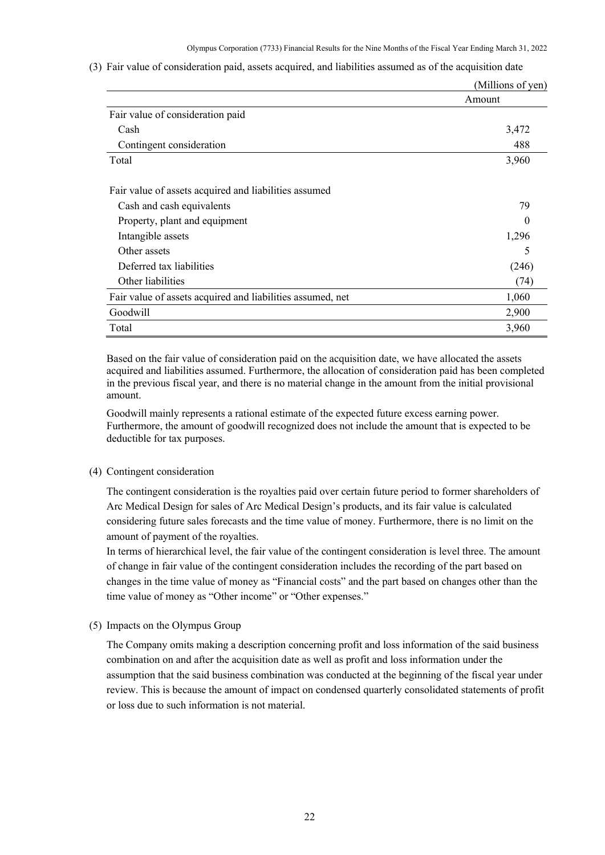|                                                            | (Millions of yen) |
|------------------------------------------------------------|-------------------|
|                                                            | Amount            |
| Fair value of consideration paid                           |                   |
| Cash                                                       | 3,472             |
| Contingent consideration                                   | 488               |
| Total                                                      | 3,960             |
| Fair value of assets acquired and liabilities assumed      |                   |
| Cash and cash equivalents                                  | 79                |
| Property, plant and equipment                              |                   |
| Intangible assets                                          | 1,296             |
| Other assets                                               | 5                 |
| Deferred tax liabilities                                   | (246)             |
| Other liabilities                                          | (74)              |
| Fair value of assets acquired and liabilities assumed, net | 1,060             |
| Goodwill                                                   | 2,900             |
| Total                                                      | 3,960             |

(3) Fair value of consideration paid, assets acquired, and liabilities assumed as of the acquisition date

Based on the fair value of consideration paid on the acquisition date, we have allocated the assets acquired and liabilities assumed. Furthermore, the allocation of consideration paid has been completed in the previous fiscal year, and there is no material change in the amount from the initial provisional amount.

Goodwill mainly represents a rational estimate of the expected future excess earning power. Furthermore, the amount of goodwill recognized does not include the amount that is expected to be deductible for tax purposes.

### (4) Contingent consideration

The contingent consideration is the royalties paid over certain future period to former shareholders of Arc Medical Design for sales of Arc Medical Design's products, and its fair value is calculated considering future sales forecasts and the time value of money. Furthermore, there is no limit on the amount of payment of the royalties.

In terms of hierarchical level, the fair value of the contingent consideration is level three. The amount of change in fair value of the contingent consideration includes the recording of the part based on changes in the time value of money as "Financial costs" and the part based on changes other than the time value of money as "Other income" or "Other expenses."

(5) Impacts on the Olympus Group

The Company omits making a description concerning profit and loss information of the said business combination on and after the acquisition date as well as profit and loss information under the assumption that the said business combination was conducted at the beginning of the fiscal year under review. This is because the amount of impact on condensed quarterly consolidated statements of profit or loss due to such information is not material.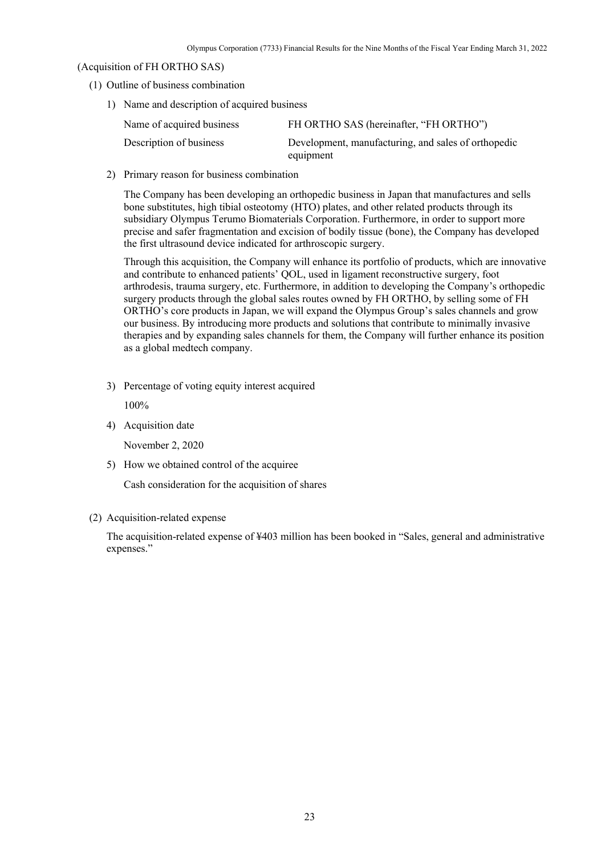### (Acquisition of FH ORTHO SAS)

- (1) Outline of business combination
	- 1) Name and description of acquired business

| Name of acquired business | FH ORTHO SAS (hereinafter, "FH ORTHO")                           |
|---------------------------|------------------------------------------------------------------|
| Description of business   | Development, manufacturing, and sales of orthopedic<br>equipment |

2) Primary reason for business combination

The Company has been developing an orthopedic business in Japan that manufactures and sells bone substitutes, high tibial osteotomy (HTO) plates, and other related products through its subsidiary Olympus Terumo Biomaterials Corporation. Furthermore, in order to support more precise and safer fragmentation and excision of bodily tissue (bone), the Company has developed the first ultrasound device indicated for arthroscopic surgery.

Through this acquisition, the Company will enhance its portfolio of products, which are innovative and contribute to enhanced patients' QOL, used in ligament reconstructive surgery, foot arthrodesis, trauma surgery, etc. Furthermore, in addition to developing the Company's orthopedic surgery products through the global sales routes owned by FH ORTHO, by selling some of FH ORTHO's core products in Japan, we will expand the Olympus Group's sales channels and grow our business. By introducing more products and solutions that contribute to minimally invasive therapies and by expanding sales channels for them, the Company will further enhance its position as a global medtech company.

3) Percentage of voting equity interest acquired

100%

4) Acquisition date

November 2, 2020

5) How we obtained control of the acquiree

Cash consideration for the acquisition of shares

## (2) Acquisition-related expense

The acquisition-related expense of ¥403 million has been booked in "Sales, general and administrative expenses."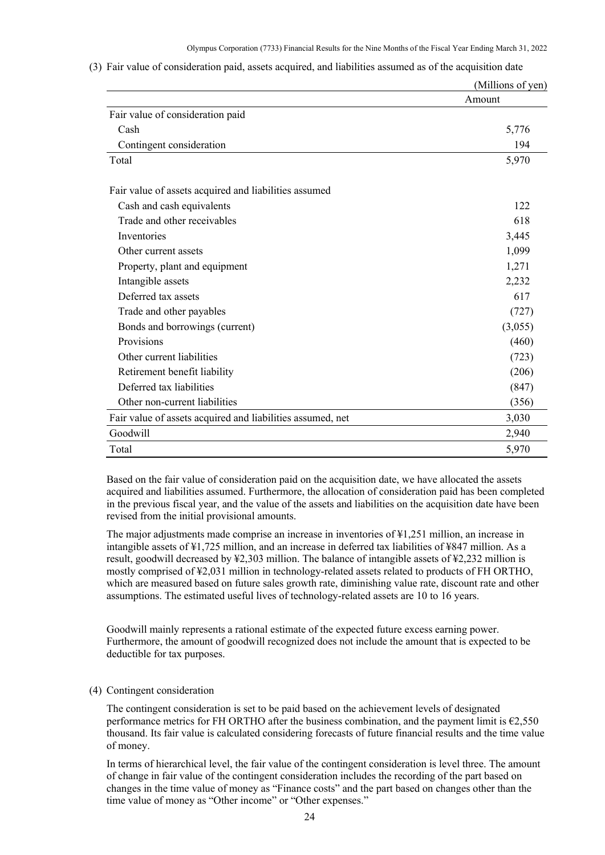|                                                            | (Millions of yen) |
|------------------------------------------------------------|-------------------|
|                                                            | Amount            |
| Fair value of consideration paid                           |                   |
| Cash                                                       | 5,776             |
| Contingent consideration                                   | 194               |
| Total                                                      | 5,970             |
| Fair value of assets acquired and liabilities assumed      |                   |
| Cash and cash equivalents                                  | 122               |
| Trade and other receivables                                | 618               |
| Inventories                                                | 3,445             |
| Other current assets                                       | 1,099             |
| Property, plant and equipment                              | 1,271             |
| Intangible assets                                          | 2,232             |
| Deferred tax assets                                        | 617               |
| Trade and other payables                                   | (727)             |
| Bonds and borrowings (current)                             | (3,055)           |
| Provisions                                                 | (460)             |
| Other current liabilities                                  | (723)             |
| Retirement benefit liability                               | (206)             |
| Deferred tax liabilities                                   | (847)             |
| Other non-current liabilities                              | (356)             |
| Fair value of assets acquired and liabilities assumed, net | 3,030             |
| Goodwill                                                   | 2,940             |
| Total                                                      | 5,970             |

(3) Fair value of consideration paid, assets acquired, and liabilities assumed as of the acquisition date

Based on the fair value of consideration paid on the acquisition date, we have allocated the assets acquired and liabilities assumed. Furthermore, the allocation of consideration paid has been completed in the previous fiscal year, and the value of the assets and liabilities on the acquisition date have been revised from the initial provisional amounts.

The major adjustments made comprise an increase in inventories of ¥1,251 million, an increase in intangible assets of ¥1,725 million, and an increase in deferred tax liabilities of ¥847 million. As a result, goodwill decreased by ¥2,303 million. The balance of intangible assets of ¥2,232 million is mostly comprised of ¥2,031 million in technology-related assets related to products of FH ORTHO, which are measured based on future sales growth rate, diminishing value rate, discount rate and other assumptions. The estimated useful lives of technology-related assets are 10 to 16 years.

Goodwill mainly represents a rational estimate of the expected future excess earning power. Furthermore, the amount of goodwill recognized does not include the amount that is expected to be deductible for tax purposes.

### (4) Contingent consideration

The contingent consideration is set to be paid based on the achievement levels of designated performance metrics for FH ORTHO after the business combination, and the payment limit is  $\epsilon$ 2,550 thousand. Its fair value is calculated considering forecasts of future financial results and the time value of money.

In terms of hierarchical level, the fair value of the contingent consideration is level three. The amount of change in fair value of the contingent consideration includes the recording of the part based on changes in the time value of money as "Finance costs" and the part based on changes other than the time value of money as "Other income" or "Other expenses."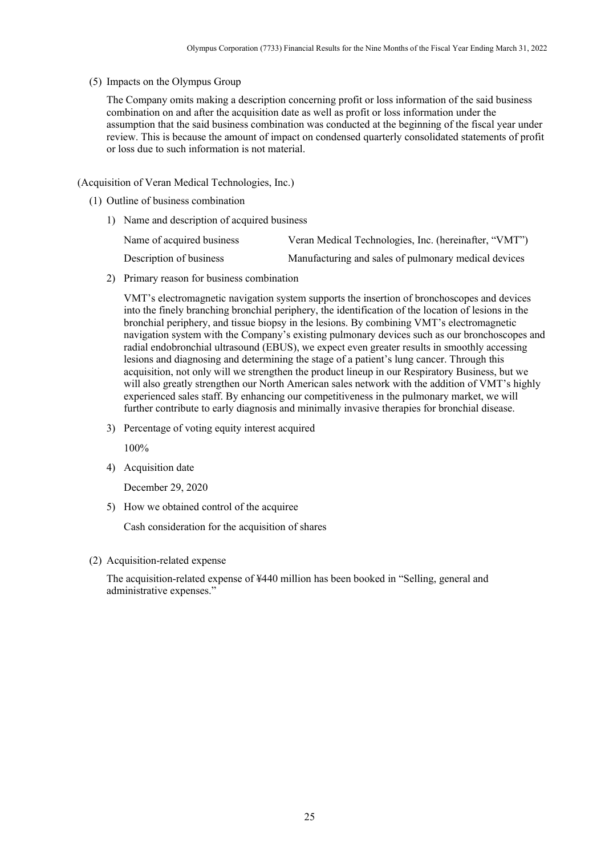### (5) Impacts on the Olympus Group

The Company omits making a description concerning profit or loss information of the said business combination on and after the acquisition date as well as profit or loss information under the assumption that the said business combination was conducted at the beginning of the fiscal year under review. This is because the amount of impact on condensed quarterly consolidated statements of profit or loss due to such information is not material.

### (Acquisition of Veran Medical Technologies, Inc.)

- (1) Outline of business combination
	- 1) Name and description of acquired business

| Name of acquired business | Veran Medical Technologies, Inc. (hereinafter, "VMT") |
|---------------------------|-------------------------------------------------------|
| Description of business   | Manufacturing and sales of pulmonary medical devices  |

2) Primary reason for business combination

VMT's electromagnetic navigation system supports the insertion of bronchoscopes and devices into the finely branching bronchial periphery, the identification of the location of lesions in the bronchial periphery, and tissue biopsy in the lesions. By combining VMT's electromagnetic navigation system with the Company's existing pulmonary devices such as our bronchoscopes and radial endobronchial ultrasound (EBUS), we expect even greater results in smoothly accessing lesions and diagnosing and determining the stage of a patient's lung cancer. Through this acquisition, not only will we strengthen the product lineup in our Respiratory Business, but we will also greatly strengthen our North American sales network with the addition of VMT's highly experienced sales staff. By enhancing our competitiveness in the pulmonary market, we will further contribute to early diagnosis and minimally invasive therapies for bronchial disease.

3) Percentage of voting equity interest acquired

100%

4) Acquisition date

December 29, 2020

5) How we obtained control of the acquiree

Cash consideration for the acquisition of shares

(2) Acquisition-related expense

The acquisition-related expense of ¥440 million has been booked in "Selling, general and administrative expenses."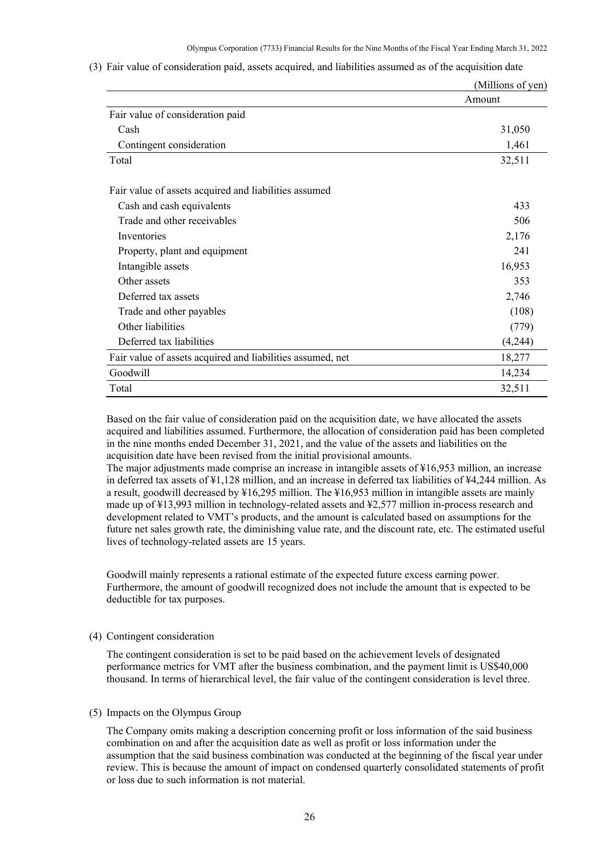|                                                            | (Millions of yen) |
|------------------------------------------------------------|-------------------|
|                                                            | Amount            |
| Fair value of consideration paid                           |                   |
| Cash                                                       | 31,050            |
| Contingent consideration                                   | 1,461             |
| Total                                                      | 32,511            |
| Fair value of assets acquired and liabilities assumed      |                   |
| Cash and cash equivalents                                  | 433               |
| Trade and other receivables                                | 506               |
| Inventories                                                | 2,176             |
| Property, plant and equipment                              | 241               |
| Intangible assets                                          | 16,953            |
| Other assets                                               | 353               |
| Deferred tax assets                                        | 2,746             |
| Trade and other payables                                   | (108)             |
| Other liabilities                                          | (779)             |
| Deferred tax liabilities                                   | (4,244)           |
| Fair value of assets acquired and liabilities assumed, net | 18,277            |
| Goodwill                                                   | 14,234            |
| Total                                                      | 32,511            |

(3) Fair value of consideration paid, assets acquired, and liabilities assumed as of the acquisition date

Based on the fair value of consideration paid on the acquisition date, we have allocated the assets acquired and liabilities assumed. Furthermore, the allocation of consideration paid has been completed in the nine months ended December 31, 2021, and the value of the assets and liabilities on the acquisition date have been revised from the initial provisional amounts.

The major adjustments made comprise an increase in intangible assets of ¥16,953 million, an increase in deferred tax assets of ¥1,128 million, and an increase in deferred tax liabilities of ¥4,244 million. As a result, goodwill decreased by ¥16,295 million. The ¥16,953 million in intangible assets are mainly made up of ¥13,993 million in technology-related assets and ¥2,577 million in-process research and development related to VMT's products, and the amount is calculated based on assumptions for the future net sales growth rate, the diminishing value rate, and the discount rate, etc. The estimated useful lives of technology-related assets are 15 years.

Goodwill mainly represents a rational estimate of the expected future excess earning power. Furthermore, the amount of goodwill recognized does not include the amount that is expected to be deductible for tax purposes.

#### (4) Contingent consideration

The contingent consideration is set to be paid based on the achievement levels of designated performance metrics for VMT after the business combination, and the payment limit is US\$40,000 thousand. In terms of hierarchical level, the fair value of the contingent consideration is level three.

### (5) Impacts on the Olympus Group

The Company omits making a description concerning profit or loss information of the said business combination on and after the acquisition date as well as profit or loss information under the assumption that the said business combination was conducted at the beginning of the fiscal year under review. This is because the amount of impact on condensed quarterly consolidated statements of profit or loss due to such information is not material.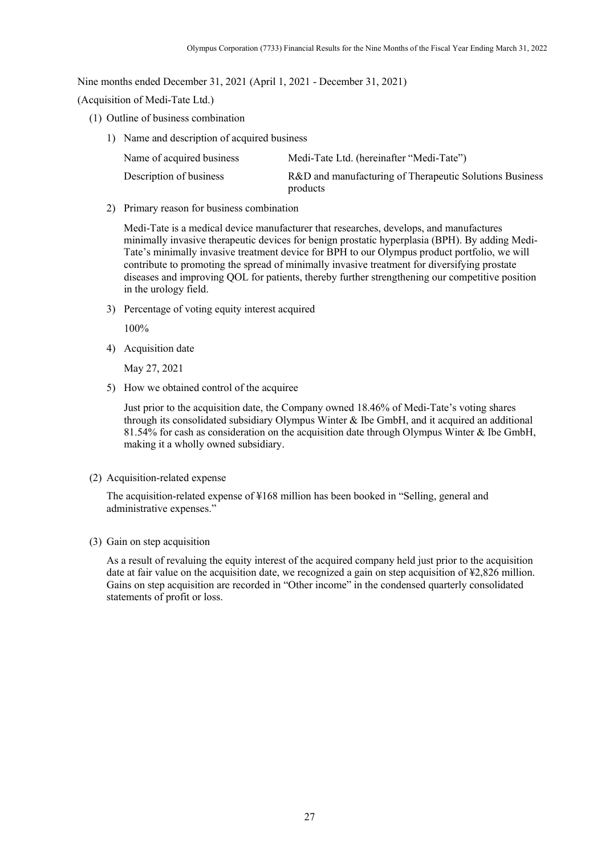Nine months ended December 31, 2021 (April 1, 2021 - December 31, 2021)

(Acquisition of Medi-Tate Ltd.)

- (1) Outline of business combination
	- 1) Name and description of acquired business

| Name of acquired business | Medi-Tate Ltd. (hereinafter "Medi-Tate")                            |
|---------------------------|---------------------------------------------------------------------|
| Description of business   | R&D and manufacturing of Therapeutic Solutions Business<br>products |

2) Primary reason for business combination

Medi-Tate is a medical device manufacturer that researches, develops, and manufactures minimally invasive therapeutic devices for benign prostatic hyperplasia (BPH). By adding Medi-Tate's minimally invasive treatment device for BPH to our Olympus product portfolio, we will contribute to promoting the spread of minimally invasive treatment for diversifying prostate diseases and improving QOL for patients, thereby further strengthening our competitive position in the urology field.

3) Percentage of voting equity interest acquired

100%

4) Acquisition date

May 27, 2021

5) How we obtained control of the acquiree

Just prior to the acquisition date, the Company owned 18.46% of Medi-Tate's voting shares through its consolidated subsidiary Olympus Winter & Ibe GmbH, and it acquired an additional 81.54% for cash as consideration on the acquisition date through Olympus Winter & Ibe GmbH, making it a wholly owned subsidiary.

(2) Acquisition-related expense

The acquisition-related expense of ¥168 million has been booked in "Selling, general and administrative expenses."

(3) Gain on step acquisition

As a result of revaluing the equity interest of the acquired company held just prior to the acquisition date at fair value on the acquisition date, we recognized a gain on step acquisition of ¥2,826 million. Gains on step acquisition are recorded in "Other income" in the condensed quarterly consolidated statements of profit or loss.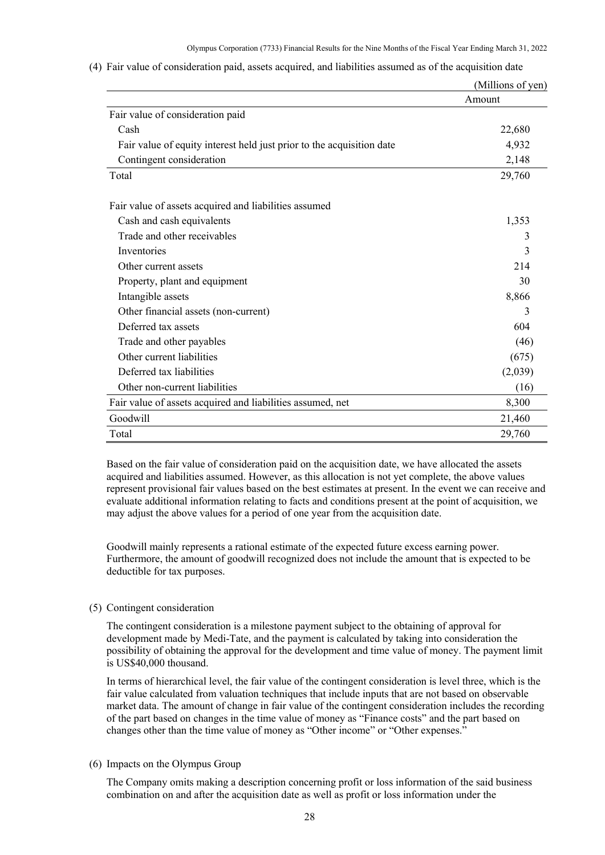|                                                                       | (Millions of yen) |
|-----------------------------------------------------------------------|-------------------|
|                                                                       | Amount            |
| Fair value of consideration paid                                      |                   |
| Cash                                                                  | 22,680            |
| Fair value of equity interest held just prior to the acquisition date | 4,932             |
| Contingent consideration                                              | 2,148             |
| Total                                                                 | 29,760            |
| Fair value of assets acquired and liabilities assumed                 |                   |
| Cash and cash equivalents                                             | 1,353             |
| Trade and other receivables                                           | 3                 |
| Inventories                                                           | 3                 |
| Other current assets                                                  | 214               |
| Property, plant and equipment                                         | 30                |
| Intangible assets                                                     | 8,866             |
| Other financial assets (non-current)                                  | 3                 |
| Deferred tax assets                                                   | 604               |
| Trade and other payables                                              | (46)              |
| Other current liabilities                                             | (675)             |
| Deferred tax liabilities                                              | (2,039)           |
| Other non-current liabilities                                         | (16)              |
| Fair value of assets acquired and liabilities assumed, net            | 8,300             |
| Goodwill                                                              | 21,460            |
| Total                                                                 | 29,760            |

(4) Fair value of consideration paid, assets acquired, and liabilities assumed as of the acquisition date

Based on the fair value of consideration paid on the acquisition date, we have allocated the assets acquired and liabilities assumed. However, as this allocation is not yet complete, the above values represent provisional fair values based on the best estimates at present. In the event we can receive and evaluate additional information relating to facts and conditions present at the point of acquisition, we may adjust the above values for a period of one year from the acquisition date.

Goodwill mainly represents a rational estimate of the expected future excess earning power. Furthermore, the amount of goodwill recognized does not include the amount that is expected to be deductible for tax purposes.

### (5) Contingent consideration

The contingent consideration is a milestone payment subject to the obtaining of approval for development made by Medi-Tate, and the payment is calculated by taking into consideration the possibility of obtaining the approval for the development and time value of money. The payment limit is US\$40,000 thousand.

In terms of hierarchical level, the fair value of the contingent consideration is level three, which is the fair value calculated from valuation techniques that include inputs that are not based on observable market data. The amount of change in fair value of the contingent consideration includes the recording of the part based on changes in the time value of money as "Finance costs" and the part based on changes other than the time value of money as "Other income" or "Other expenses."

### (6) Impacts on the Olympus Group

The Company omits making a description concerning profit or loss information of the said business combination on and after the acquisition date as well as profit or loss information under the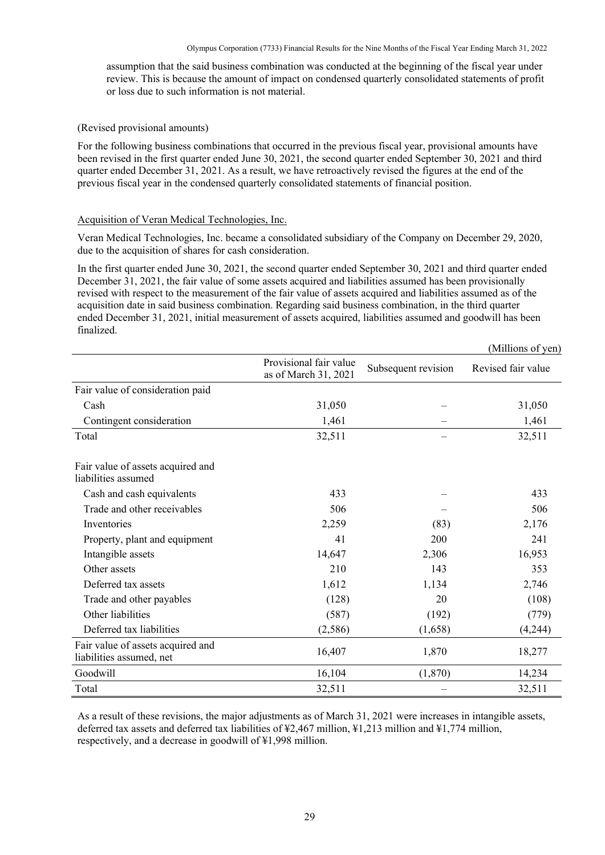assumption that the said business combination was conducted at the beginning of the fiscal year under review. This is because the amount of impact on condensed quarterly consolidated statements of profit or loss due to such information is not material.

### (Revised provisional amounts)

For the following business combinations that occurred in the previous fiscal year, provisional amounts have been revised in the first quarter ended June 30, 2021, the second quarter ended September 30, 2021 and third quarter ended December 31, 2021. As a result, we have retroactively revised the figures at the end of the previous fiscal year in the condensed quarterly consolidated statements of financial position.

### Acquisition of Veran Medical Technologies, Inc.

Veran Medical Technologies, Inc. became a consolidated subsidiary of the Company on December 29, 2020, due to the acquisition of shares for cash consideration.

In the first quarter ended June 30, 2021, the second quarter ended September 30, 2021 and third quarter ended December 31, 2021, the fair value of some assets acquired and liabilities assumed has been provisionally revised with respect to the measurement of the fair value of assets acquired and liabilities assumed as of the acquisition date in said business combination. Regarding said business combination, in the third quarter ended December 31, 2021, initial measurement of assets acquired, liabilities assumed and goodwill has been finalized.

|                                                               |                                                |                     | (Millions of yen)  |
|---------------------------------------------------------------|------------------------------------------------|---------------------|--------------------|
|                                                               | Provisional fair value<br>as of March 31, 2021 | Subsequent revision | Revised fair value |
| Fair value of consideration paid                              |                                                |                     |                    |
| Cash                                                          | 31,050                                         |                     | 31,050             |
| Contingent consideration                                      | 1,461                                          |                     | 1,461              |
| Total                                                         | 32,511                                         |                     | 32,511             |
| Fair value of assets acquired and<br>liabilities assumed      |                                                |                     |                    |
| Cash and cash equivalents                                     | 433                                            |                     | 433                |
| Trade and other receivables                                   | 506                                            |                     | 506                |
| Inventories                                                   | 2,259                                          | (83)                | 2,176              |
| Property, plant and equipment                                 | 41                                             | 200                 | 241                |
| Intangible assets                                             | 14,647                                         | 2,306               | 16,953             |
| Other assets                                                  | 210                                            | 143                 | 353                |
| Deferred tax assets                                           | 1,612                                          | 1,134               | 2,746              |
| Trade and other payables                                      | (128)                                          | 20                  | (108)              |
| Other liabilities                                             | (587)                                          | (192)               | (779)              |
| Deferred tax liabilities                                      | (2, 586)                                       | (1,658)             | (4,244)            |
| Fair value of assets acquired and<br>liabilities assumed, net | 16,407                                         | 1,870               | 18,277             |
| Goodwill                                                      | 16,104                                         | (1,870)             | 14,234             |
| Total                                                         | 32,511                                         |                     | 32,511             |

As a result of these revisions, the major adjustments as of March 31, 2021 were increases in intangible assets, deferred tax assets and deferred tax liabilities of ¥2,467 million, ¥1,213 million and ¥1,774 million, respectively, and a decrease in goodwill of ¥1,998 million.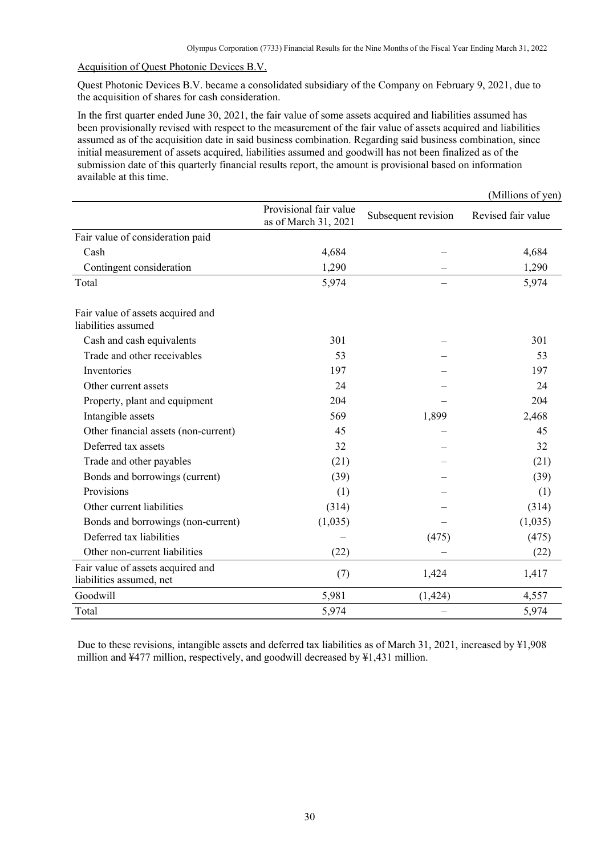$(MTU)$   $(2, 3)$ 

#### Acquisition of Quest Photonic Devices B.V.

Quest Photonic Devices B.V. became a consolidated subsidiary of the Company on February 9, 2021, due to the acquisition of shares for cash consideration.

In the first quarter ended June 30, 2021, the fair value of some assets acquired and liabilities assumed has been provisionally revised with respect to the measurement of the fair value of assets acquired and liabilities assumed as of the acquisition date in said business combination. Regarding said business combination, since initial measurement of assets acquired, liabilities assumed and goodwill has not been finalized as of the submission date of this quarterly financial results report, the amount is provisional based on information available at this time.

|                                                               |                                                |                     | ( <i>INITHORIS OF YELL)</i> |
|---------------------------------------------------------------|------------------------------------------------|---------------------|-----------------------------|
|                                                               | Provisional fair value<br>as of March 31, 2021 | Subsequent revision | Revised fair value          |
| Fair value of consideration paid                              |                                                |                     |                             |
| Cash                                                          | 4,684                                          |                     | 4,684                       |
| Contingent consideration                                      | 1,290                                          |                     | 1,290                       |
| Total                                                         | 5,974                                          |                     | 5,974                       |
| Fair value of assets acquired and<br>liabilities assumed      |                                                |                     |                             |
| Cash and cash equivalents                                     | 301                                            |                     | 301                         |
| Trade and other receivables                                   | 53                                             |                     | 53                          |
| Inventories                                                   | 197                                            |                     | 197                         |
| Other current assets                                          | 24                                             |                     | 24                          |
| Property, plant and equipment                                 | 204                                            |                     | 204                         |
| Intangible assets                                             | 569                                            | 1,899               | 2,468                       |
| Other financial assets (non-current)                          | 45                                             |                     | 45                          |
| Deferred tax assets                                           | 32                                             |                     | 32                          |
| Trade and other payables                                      | (21)                                           |                     | (21)                        |
| Bonds and borrowings (current)                                | (39)                                           |                     | (39)                        |
| Provisions                                                    | (1)                                            |                     | (1)                         |
| Other current liabilities                                     | (314)                                          |                     | (314)                       |
| Bonds and borrowings (non-current)                            | (1,035)                                        |                     | (1,035)                     |
| Deferred tax liabilities                                      |                                                | (475)               | (475)                       |
| Other non-current liabilities                                 | (22)                                           |                     | (22)                        |
| Fair value of assets acquired and<br>liabilities assumed, net | (7)                                            | 1,424               | 1,417                       |
| Goodwill                                                      | 5,981                                          | (1, 424)            | 4,557                       |
| Total                                                         | 5,974                                          |                     | 5,974                       |

Due to these revisions, intangible assets and deferred tax liabilities as of March 31, 2021, increased by ¥1,908 million and ¥477 million, respectively, and goodwill decreased by ¥1,431 million.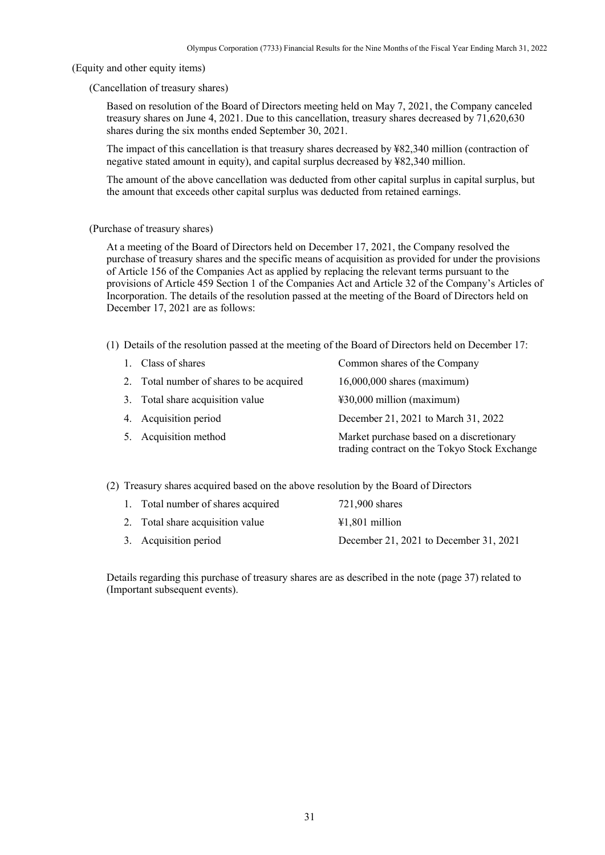<span id="page-32-0"></span>(Equity and other equity items)

(Cancellation of treasury shares)

Based on resolution of the Board of Directors meeting held on May 7, 2021, the Company canceled treasury shares on June 4, 2021. Due to this cancellation, treasury shares decreased by 71,620,630 shares during the six months ended September 30, 2021.

The impact of this cancellation is that treasury shares decreased by ¥82,340 million (contraction of negative stated amount in equity), and capital surplus decreased by ¥82,340 million.

The amount of the above cancellation was deducted from other capital surplus in capital surplus, but the amount that exceeds other capital surplus was deducted from retained earnings.

(Purchase of treasury shares)

At a meeting of the Board of Directors held on December 17, 2021, the Company resolved the purchase of treasury shares and the specific means of acquisition as provided for under the provisions of Article 156 of the Companies Act as applied by replacing the relevant terms pursuant to the provisions of Article 459 Section 1 of the Companies Act and Article 32 of the Company's Articles of Incorporation. The details of the resolution passed at the meeting of the Board of Directors held on December 17, 2021 are as follows:

(1) Details of the resolution passed at the meeting of the Board of Directors held on December 17:

| 1. Class of shares                       | Common shares of the Company                                                             |
|------------------------------------------|------------------------------------------------------------------------------------------|
| 2. Total number of shares to be acquired | $16,000,000$ shares (maximum)                                                            |
| 3. Total share acquisition value         | ¥30,000 million (maximum)                                                                |
| 4. Acquisition period                    | December 21, 2021 to March 31, 2022                                                      |
| 5. Acquisition method                    | Market purchase based on a discretionary<br>trading contract on the Tokyo Stock Exchange |

(2) Treasury shares acquired based on the above resolution by the Board of Directors

| 1. Total number of shares acquired | 721,900 shares                         |
|------------------------------------|----------------------------------------|
| 2. Total share acquisition value   | $\text{\#1.801}$ million               |
| 3. Acquisition period              | December 21, 2021 to December 31, 2021 |

Details regarding this purchase of treasury shares are as described in the note (page 37) related to (Important subsequent events).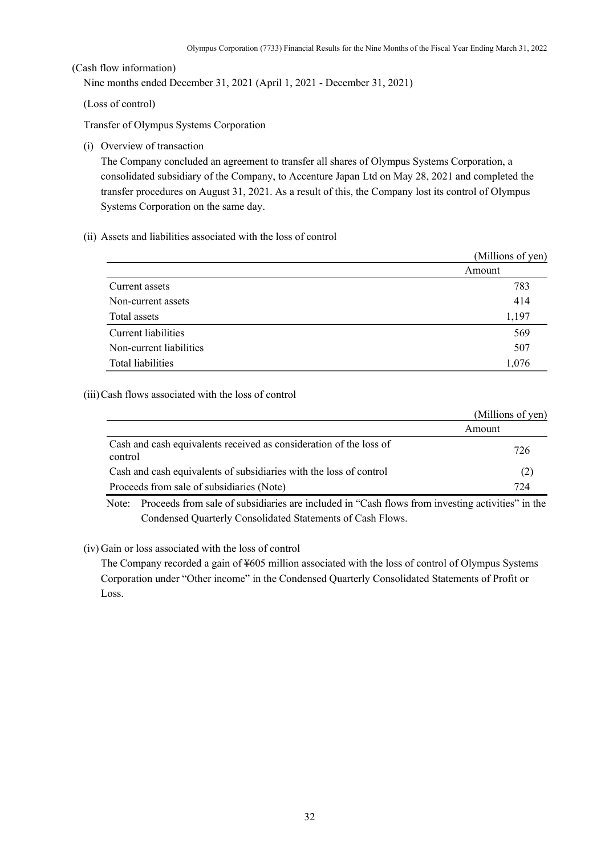<span id="page-33-0"></span>(Cash flow information)

Nine months ended December 31, 2021 (April 1, 2021 - December 31, 2021)

(Loss of control)

Transfer of Olympus Systems Corporation

(i) Overview of transaction

The Company concluded an agreement to transfer all shares of Olympus Systems Corporation, a consolidated subsidiary of the Company, to Accenture Japan Ltd on May 28, 2021 and completed the transfer procedures on August 31, 2021. As a result of this, the Company lost its control of Olympus Systems Corporation on the same day.

(ii) Assets and liabilities associated with the loss of control

|                         | (Millions of yen) |
|-------------------------|-------------------|
|                         | Amount            |
| Current assets          | 783               |
| Non-current assets      | 414               |
| Total assets            | 1,197             |
| Current liabilities     | 569               |
| Non-current liabilities | 507               |
| Total liabilities       | 1,076             |

(iii)Cash flows associated with the loss of control

|                                                                               | (Millions of yen) |
|-------------------------------------------------------------------------------|-------------------|
|                                                                               | Amount            |
| Cash and cash equivalents received as consideration of the loss of<br>control | 726               |
| Cash and cash equivalents of subsidiaries with the loss of control            | (2)               |
| Proceeds from sale of subsidiaries (Note)                                     | 724               |

Note: Proceeds from sale of subsidiaries are included in "Cash flows from investing activities" in the Condensed Quarterly Consolidated Statements of Cash Flows.

(iv) Gain or loss associated with the loss of control

The Company recorded a gain of ¥605 million associated with the loss of control of Olympus Systems Corporation under "Other income" in the Condensed Quarterly Consolidated Statements of Profit or Loss.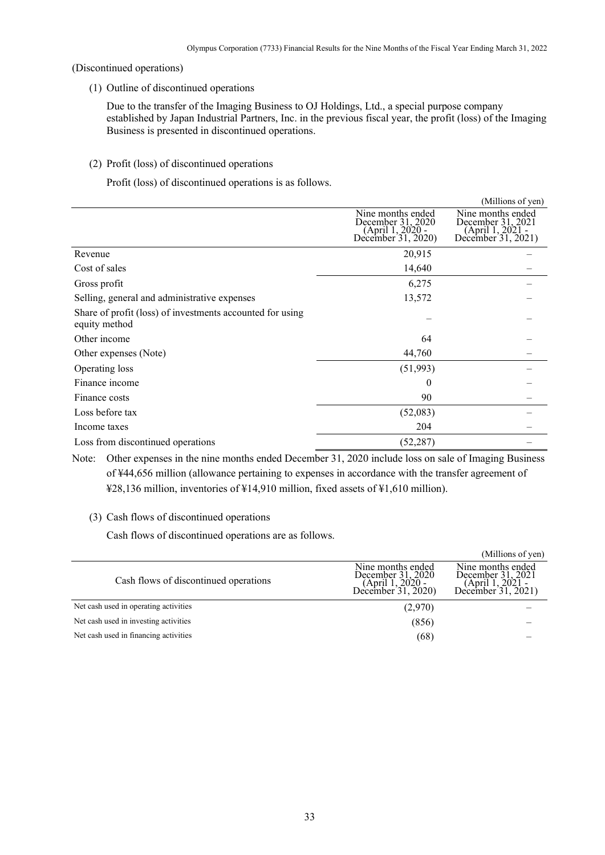<span id="page-34-0"></span>(Discontinued operations)

(1) Outline of discontinued operations

Due to the transfer of the Imaging Business to OJ Holdings, Ltd., a special purpose company established by Japan Industrial Partners, Inc. in the previous fiscal year, the profit (loss) of the Imaging Business is presented in discontinued operations.

(2) Profit (loss) of discontinued operations

Profit (loss) of discontinued operations is as follows.

|                                                                            |                                                                                  | (Millions of yen)                                                                |
|----------------------------------------------------------------------------|----------------------------------------------------------------------------------|----------------------------------------------------------------------------------|
|                                                                            | Nine months ended<br>December 31, 2020<br>(April 1, 2020 -<br>December 31, 2020) | Nine months ended<br>December 31, 2021<br>(April 1, 2021 -<br>December 31, 2021) |
| Revenue                                                                    | 20,915                                                                           |                                                                                  |
| Cost of sales                                                              | 14,640                                                                           |                                                                                  |
| Gross profit                                                               | 6,275                                                                            |                                                                                  |
| Selling, general and administrative expenses                               | 13,572                                                                           |                                                                                  |
| Share of profit (loss) of investments accounted for using<br>equity method |                                                                                  |                                                                                  |
| Other income                                                               | 64                                                                               |                                                                                  |
| Other expenses (Note)                                                      | 44,760                                                                           |                                                                                  |
| Operating loss                                                             | (51, 993)                                                                        |                                                                                  |
| Finance income                                                             | $\theta$                                                                         |                                                                                  |
| Finance costs                                                              | 90                                                                               |                                                                                  |
| Loss before tax                                                            | (52,083)                                                                         |                                                                                  |
| Income taxes                                                               | 204                                                                              |                                                                                  |
| Loss from discontinued operations                                          | (52, 287)                                                                        |                                                                                  |

Note: Other expenses in the nine months ended December 31, 2020 include loss on sale of Imaging Business of ¥44,656 million (allowance pertaining to expenses in accordance with the transfer agreement of ¥28,136 million, inventories of ¥14,910 million, fixed assets of ¥1,610 million).

# (3) Cash flows of discontinued operations

Cash flows of discontinued operations are as follows.

| (Millions of yen)                                                                |
|----------------------------------------------------------------------------------|
| Nine months ended<br>December 31, 2021<br>(April 1, 2021 -<br>December 31, 2021) |
|                                                                                  |
|                                                                                  |
|                                                                                  |
|                                                                                  |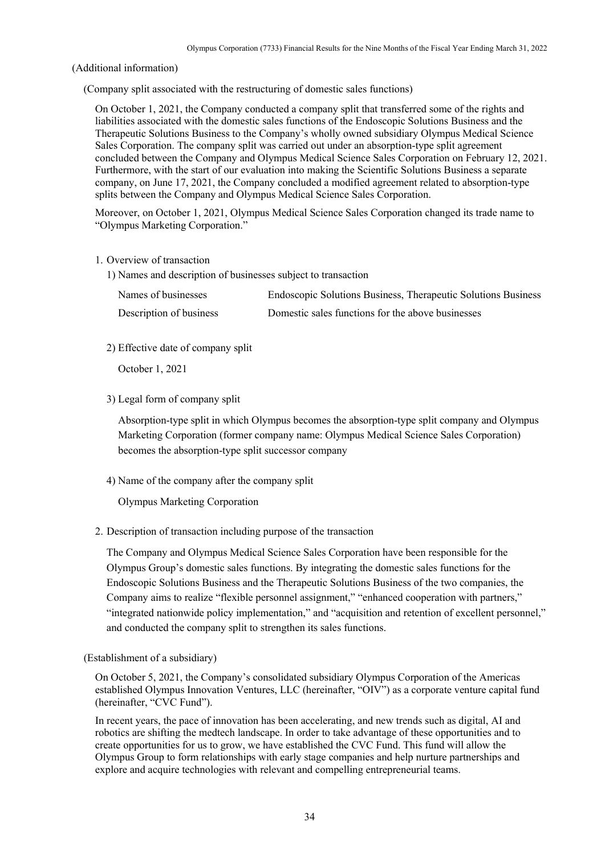<span id="page-35-0"></span>(Additional information)

(Company split associated with the restructuring of domestic sales functions)

On October 1, 2021, the Company conducted a company split that transferred some of the rights and liabilities associated with the domestic sales functions of the Endoscopic Solutions Business and the Therapeutic Solutions Business to the Company's wholly owned subsidiary Olympus Medical Science Sales Corporation. The company split was carried out under an absorption-type split agreement concluded between the Company and Olympus Medical Science Sales Corporation on February 12, 2021. Furthermore, with the start of our evaluation into making the Scientific Solutions Business a separate company, on June 17, 2021, the Company concluded a modified agreement related to absorption-type splits between the Company and Olympus Medical Science Sales Corporation.

Moreover, on October 1, 2021, Olympus Medical Science Sales Corporation changed its trade name to "Olympus Marketing Corporation."

- 1. Overview of transaction
	- 1) Names and description of businesses subject to transaction

| Names of businesses     | Endoscopic Solutions Business, Therapeutic Solutions Business |
|-------------------------|---------------------------------------------------------------|
| Description of business | Domestic sales functions for the above businesses             |

2) Effective date of company split

October 1, 2021

3) Legal form of company split

Absorption-type split in which Olympus becomes the absorption-type split company and Olympus Marketing Corporation (former company name: Olympus Medical Science Sales Corporation) becomes the absorption-type split successor company

4) Name of the company after the company split

Olympus Marketing Corporation

2. Description of transaction including purpose of the transaction

The Company and Olympus Medical Science Sales Corporation have been responsible for the Olympus Group's domestic sales functions. By integrating the domestic sales functions for the Endoscopic Solutions Business and the Therapeutic Solutions Business of the two companies, the Company aims to realize "flexible personnel assignment," "enhanced cooperation with partners," "integrated nationwide policy implementation," and "acquisition and retention of excellent personnel," and conducted the company split to strengthen its sales functions.

(Establishment of a subsidiary)

On October 5, 2021, the Company's consolidated subsidiary Olympus Corporation of the Americas established Olympus Innovation Ventures, LLC (hereinafter, "OIV") as a corporate venture capital fund (hereinafter, "CVC Fund").

In recent years, the pace of innovation has been accelerating, and new trends such as digital, AI and robotics are shifting the medtech landscape. In order to take advantage of these opportunities and to create opportunities for us to grow, we have established the CVC Fund. This fund will allow the Olympus Group to form relationships with early stage companies and help nurture partnerships and explore and acquire technologies with relevant and compelling entrepreneurial teams.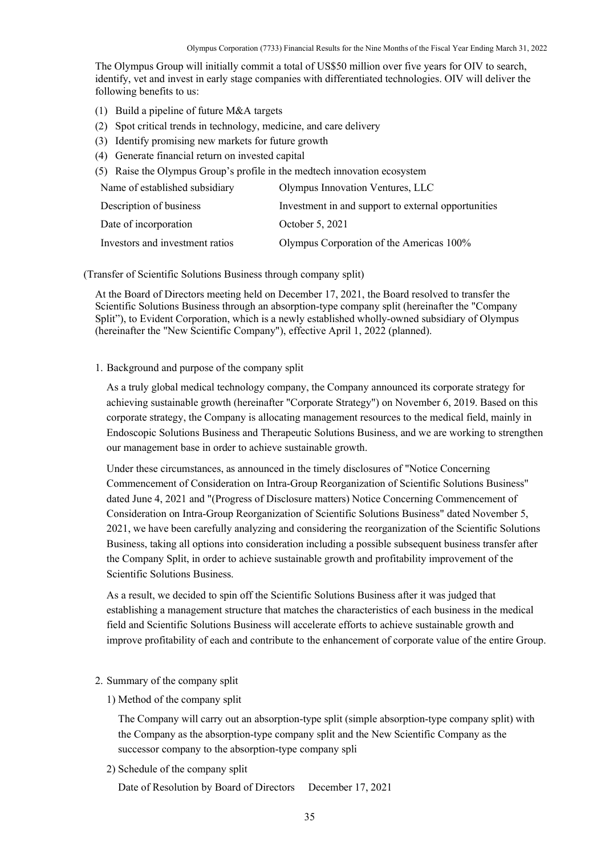The Olympus Group will initially commit a total of US\$50 million over five years for OIV to search, identify, vet and invest in early stage companies with differentiated technologies. OIV will deliver the following benefits to us:

- (1) Build a pipeline of future M&A targets
- (2) Spot critical trends in technology, medicine, and care delivery
- (3) Identify promising new markets for future growth
- (4) Generate financial return on invested capital
- (5) Raise the Olympus Group's profile in the medtech innovation ecosystem

| Name of established subsidiary  | Olympus Innovation Ventures, LLC                    |
|---------------------------------|-----------------------------------------------------|
| Description of business         | Investment in and support to external opportunities |
| Date of incorporation           | October 5, 2021                                     |
| Investors and investment ratios | Olympus Corporation of the Americas 100%            |

(Transfer of Scientific Solutions Business through company split)

At the Board of Directors meeting held on December 17, 2021, the Board resolved to transfer the Scientific Solutions Business through an absorption-type company split (hereinafter the "Company Split"), to Evident Corporation, which is a newly established wholly-owned subsidiary of Olympus (hereinafter the "New Scientific Company"), effective April 1, 2022 (planned).

### 1. Background and purpose of the company split

As a truly global medical technology company, the Company announced its corporate strategy for achieving sustainable growth (hereinafter "Corporate Strategy") on November 6, 2019. Based on this corporate strategy, the Company is allocating management resources to the medical field, mainly in Endoscopic Solutions Business and Therapeutic Solutions Business, and we are working to strengthen our management base in order to achieve sustainable growth.

Under these circumstances, as announced in the timely disclosures of "Notice Concerning Commencement of Consideration on Intra-Group Reorganization of Scientific Solutions Business" dated June 4, 2021 and "(Progress of Disclosure matters) Notice Concerning Commencement of Consideration on Intra-Group Reorganization of Scientific Solutions Business" dated November 5, 2021, we have been carefully analyzing and considering the reorganization of the Scientific Solutions Business, taking all options into consideration including a possible subsequent business transfer after the Company Split, in order to achieve sustainable growth and profitability improvement of the Scientific Solutions Business.

As a result, we decided to spin off the Scientific Solutions Business after it was judged that establishing a management structure that matches the characteristics of each business in the medical field and Scientific Solutions Business will accelerate efforts to achieve sustainable growth and improve profitability of each and contribute to the enhancement of corporate value of the entire Group.

#### 2. Summary of the company split

1) Method of the company split

The Company will carry out an absorption-type split (simple absorption-type company split) with the Company as the absorption-type company split and the New Scientific Company as the successor company to the absorption-type company spli

2) Schedule of the company split

Date of Resolution by Board of Directors December 17, 2021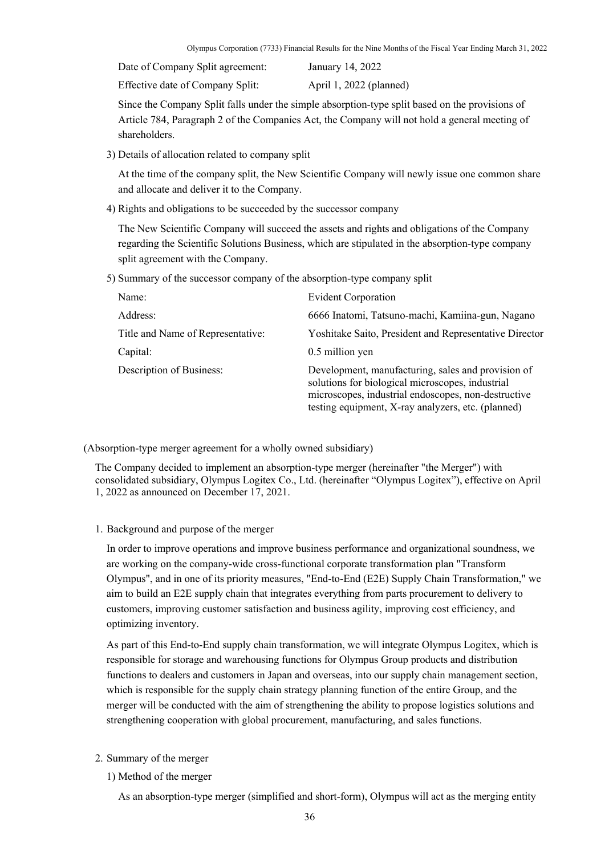Date of Company Split agreement: January 14, 2022

Effective date of Company Split: April 1, 2022 (planned)

Since the Company Split falls under the simple absorption-type split based on the provisions of Article 784, Paragraph 2 of the Companies Act, the Company will not hold a general meeting of shareholders.

3) Details of allocation related to company split

At the time of the company split, the New Scientific Company will newly issue one common share and allocate and deliver it to the Company.

4) Rights and obligations to be succeeded by the successor company

The New Scientific Company will succeed the assets and rights and obligations of the Company regarding the Scientific Solutions Business, which are stipulated in the absorption-type company split agreement with the Company.

5) Summary of the successor company of the absorption-type company split

| Name:                             | <b>Evident Corporation</b>                                                                                                                                                                                          |
|-----------------------------------|---------------------------------------------------------------------------------------------------------------------------------------------------------------------------------------------------------------------|
| Address:                          | 6666 Inatomi, Tatsuno-machi, Kamiina-gun, Nagano                                                                                                                                                                    |
| Title and Name of Representative: | Yoshitake Saito, President and Representative Director                                                                                                                                                              |
| Capital:                          | 0.5 million yen                                                                                                                                                                                                     |
| Description of Business:          | Development, manufacturing, sales and provision of<br>solutions for biological microscopes, industrial<br>microscopes, industrial endoscopes, non-destructive<br>testing equipment, X-ray analyzers, etc. (planned) |

(Absorption-type merger agreement for a wholly owned subsidiary)

The Company decided to implement an absorption-type merger (hereinafter "the Merger") with consolidated subsidiary, Olympus Logitex Co., Ltd. (hereinafter "Olympus Logitex"), effective on April 1, 2022 as announced on December 17, 2021.

1. Background and purpose of the merger

In order to improve operations and improve business performance and organizational soundness, we are working on the company-wide cross-functional corporate transformation plan "Transform Olympus", and in one of its priority measures, "End-to-End (E2E) Supply Chain Transformation," we aim to build an E2E supply chain that integrates everything from parts procurement to delivery to customers, improving customer satisfaction and business agility, improving cost efficiency, and optimizing inventory.

As part of this End-to-End supply chain transformation, we will integrate Olympus Logitex, which is responsible for storage and warehousing functions for Olympus Group products and distribution functions to dealers and customers in Japan and overseas, into our supply chain management section, which is responsible for the supply chain strategy planning function of the entire Group, and the merger will be conducted with the aim of strengthening the ability to propose logistics solutions and strengthening cooperation with global procurement, manufacturing, and sales functions.

- 2. Summary of the merger
	- 1) Method of the merger

As an absorption-type merger (simplified and short-form), Olympus will act as the merging entity